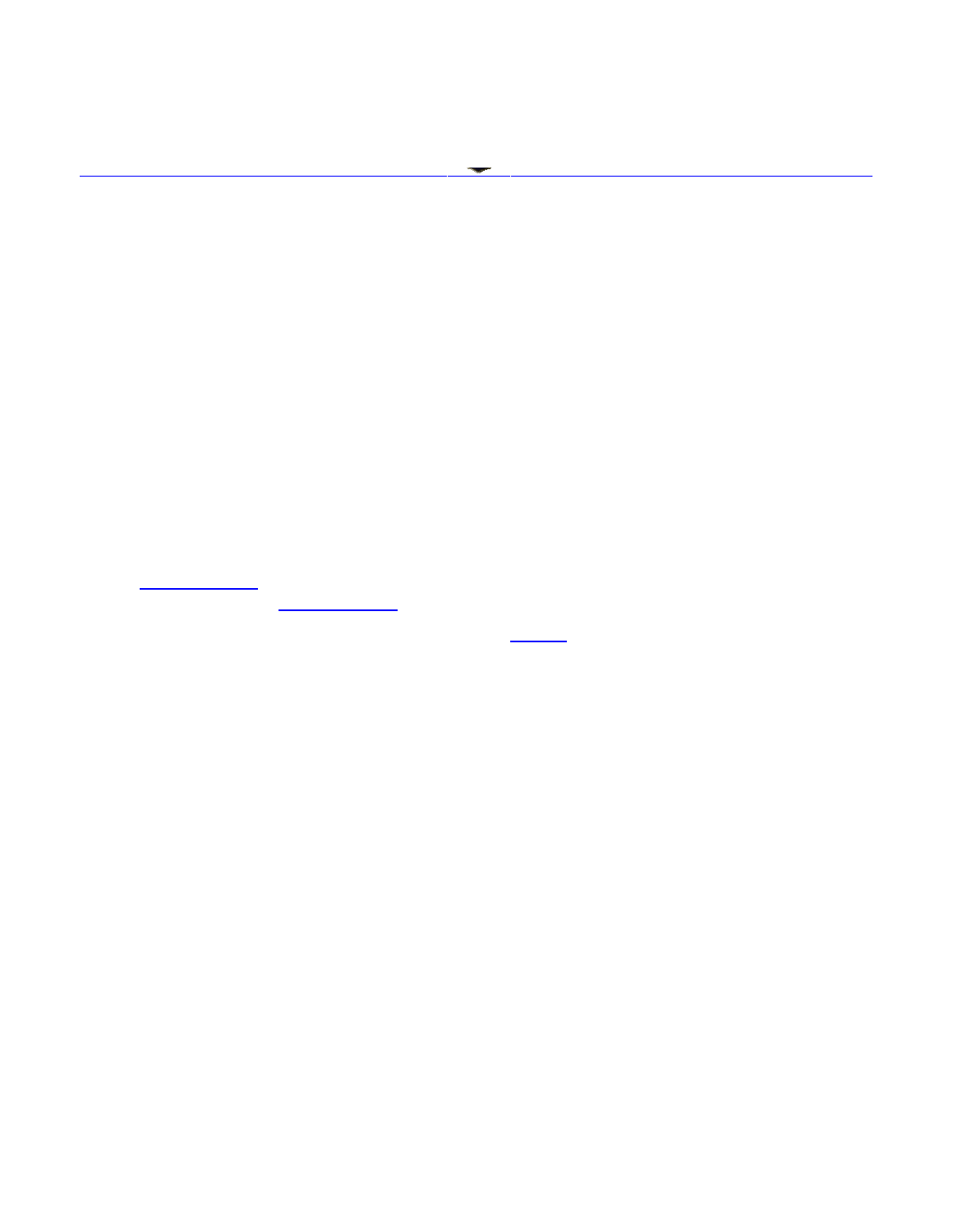Svjetska banka za podsticaj razvoja u BiH

Federalni zavod za programiranje razvoja upoznao se i prou to materijal Svjetske banke objavljenom na web stranici pod nazivom: «Bosna i Hercegovina – Post-konfliktna rekonstr ukcija i tranzicija ka tržišnoj ekonomiji». Sa razvojnog stanovista Zavod se fokusira na dijelove Izvještaja koji se odnose plasiranje kredita Svjetske banke za rekonstrukciju i razvoj tržišne privrede, putem Meÿunarodne asocijacije za razvoj (IDA), a koji se odnose na podršku lokalnom razvoju, razvoju zajednica i programima podrške u procesu privatizacije preduze üa. Tako je, prema navodima u Izvještaju, zaklju bno sa 31.12.2002. godine u periodu od 1996-2002. godine, u Bosni i Hercegovini plasirano 983,1 mil \$, za ukupno 47 projekata, od kojih je 28 završenih u vrijednosti od 687,4 mil \$ ili 59,6%, i 19 projekata u toku u vrijednosti od 295,7 mil.\$ ili 40,4%.

Dio kreditnih sredstava se, po odlukama entitetskih vlada, realizira u Federaciji BiH putem Fondacije za održivi razvoj koja implementira þetiri projekta: www.odraz.ba, a dio kroz Fond za razvoj i zapošljavanje RS koji implementira osam projekata: www.rsdet.org

Opširnije o Izvještaju Svjetske banke: Report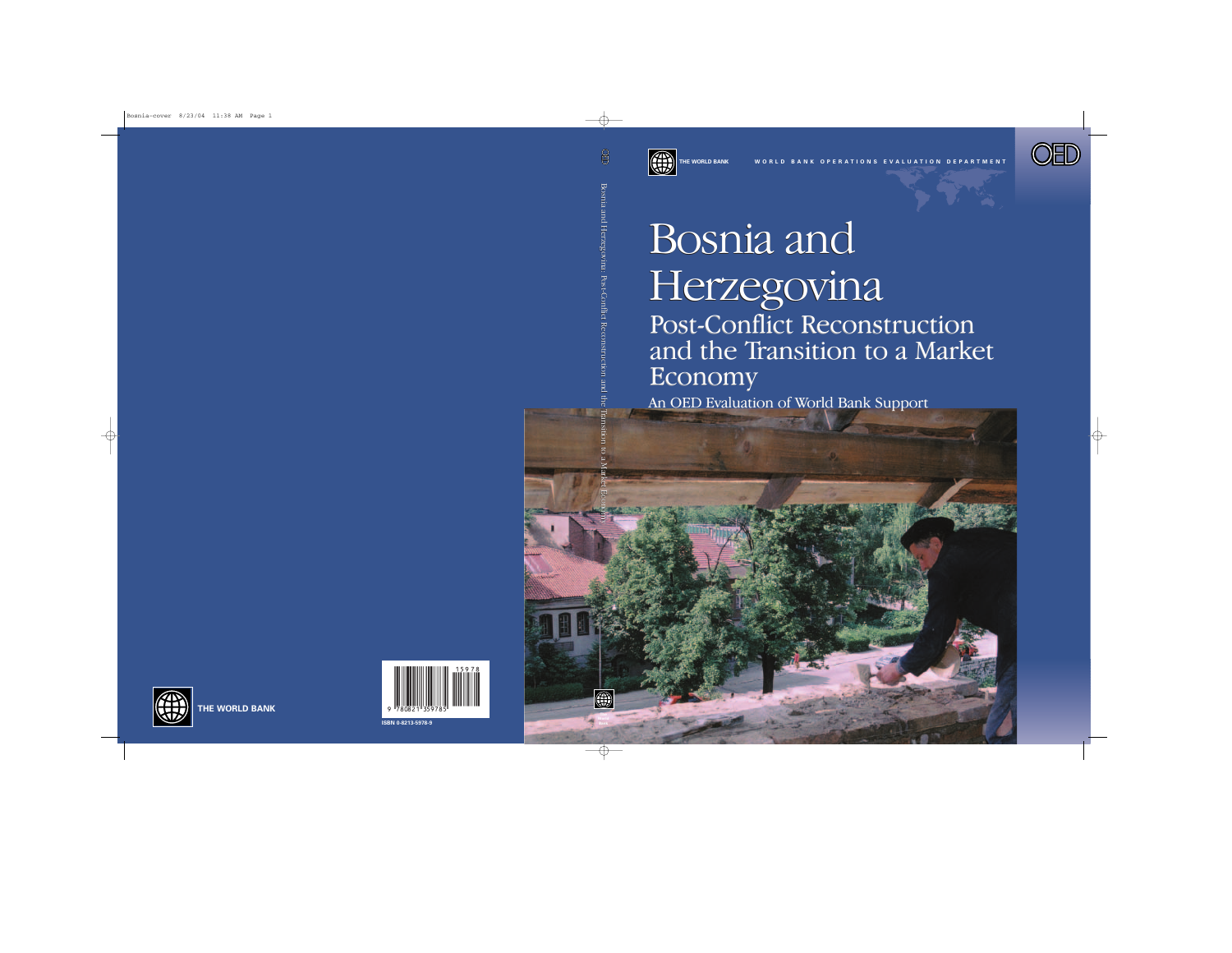Bosnia and Bosnia and Herzegovina Herzegovina Post-Conflict Reconstruction and the Transition to a Market Post-Conflict Reconstruction and the Transition to a Market Economy Economy

An OED Evaluation of World Bank Support

**THE WORLD BANK**

**THE WORLD BANK WORLD BANK OPERATIONS EVALUATION DEPARTMENT**







Bosnia and Herzegovina: Post-Conflict Reconstruction and the Transition to a Market Economy



**Bank**

0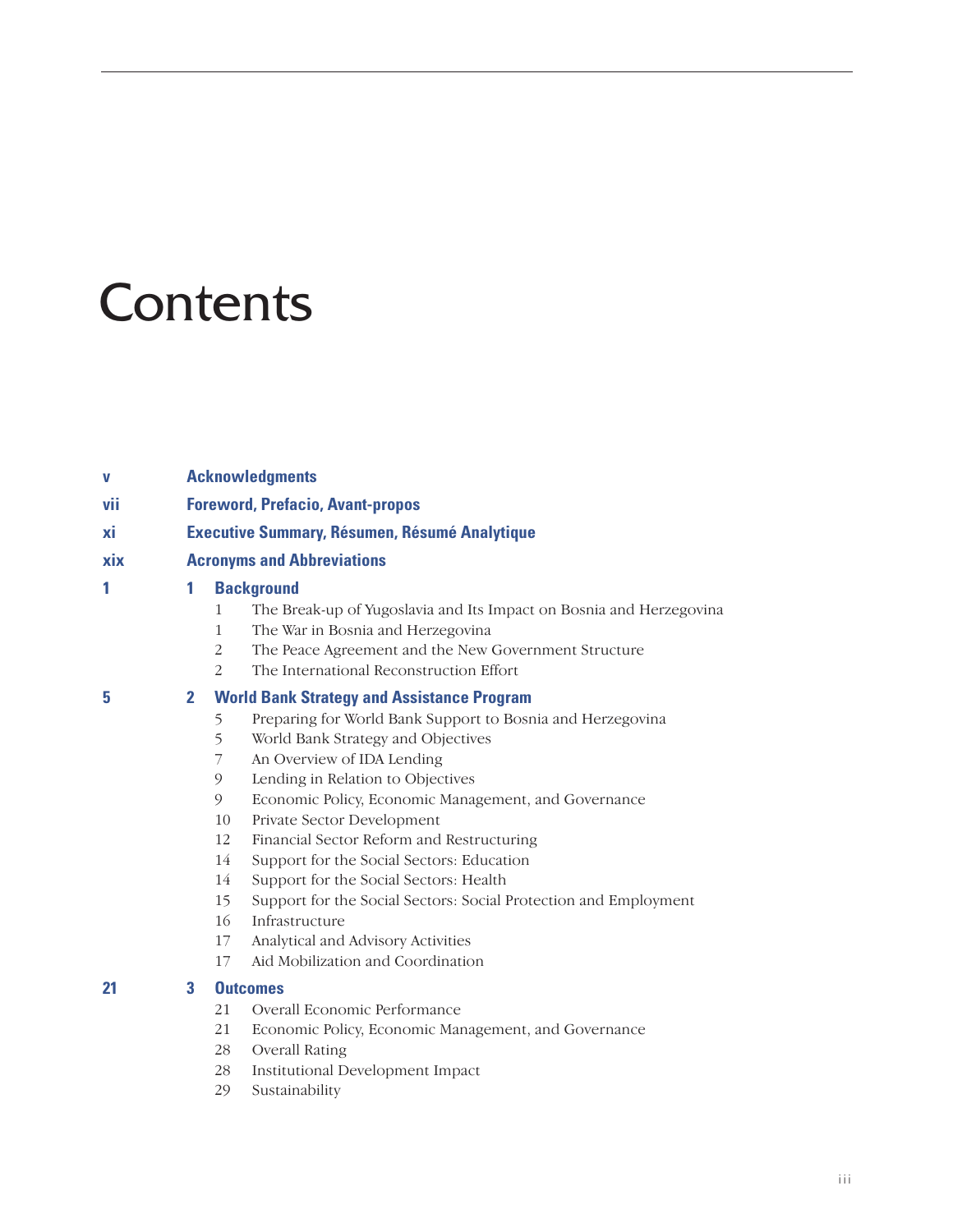# **Contents**

| $\mathbf V$ |                | <b>Acknowledgments</b>                                                                                                                                                                                                                                                                                                                                                                                                                                                                                                                                                                                                                                                                                   |  |  |  |  |  |  |  |  |
|-------------|----------------|----------------------------------------------------------------------------------------------------------------------------------------------------------------------------------------------------------------------------------------------------------------------------------------------------------------------------------------------------------------------------------------------------------------------------------------------------------------------------------------------------------------------------------------------------------------------------------------------------------------------------------------------------------------------------------------------------------|--|--|--|--|--|--|--|--|
| vii         |                | <b>Foreword, Prefacio, Avant-propos</b>                                                                                                                                                                                                                                                                                                                                                                                                                                                                                                                                                                                                                                                                  |  |  |  |  |  |  |  |  |
| хi          |                | <b>Executive Summary, Résumen, Résumé Analytique</b>                                                                                                                                                                                                                                                                                                                                                                                                                                                                                                                                                                                                                                                     |  |  |  |  |  |  |  |  |
| xix         |                | <b>Acronyms and Abbreviations</b>                                                                                                                                                                                                                                                                                                                                                                                                                                                                                                                                                                                                                                                                        |  |  |  |  |  |  |  |  |
| 1           | 1              | <b>Background</b><br>1<br>The Break-up of Yugoslavia and Its Impact on Bosnia and Herzegovina<br>The War in Bosnia and Herzegovina<br>$\mathbf{1}$<br>The Peace Agreement and the New Government Structure<br>2<br>$\overline{2}$<br>The International Reconstruction Effort                                                                                                                                                                                                                                                                                                                                                                                                                             |  |  |  |  |  |  |  |  |
| 5           | $\overline{2}$ | <b>World Bank Strategy and Assistance Program</b><br>Preparing for World Bank Support to Bosnia and Herzegovina<br>5<br>World Bank Strategy and Objectives<br>5<br>7<br>An Overview of IDA Lending<br>$\mathcal{P}$<br>Lending in Relation to Objectives<br>9<br>Economic Policy, Economic Management, and Governance<br>10<br>Private Sector Development<br>Financial Sector Reform and Restructuring<br>12<br>14<br>Support for the Social Sectors: Education<br>14<br>Support for the Social Sectors: Health<br>Support for the Social Sectors: Social Protection and Employment<br>15<br>16<br>Infrastructure<br>17<br>Analytical and Advisory Activities<br>Aid Mobilization and Coordination<br>17 |  |  |  |  |  |  |  |  |
| 21          | 3              | <b>Outcomes</b><br>21<br>Overall Economic Performance<br>21<br>Economic Policy, Economic Management, and Governance<br>28<br><b>Overall Rating</b><br><b>Institutional Development Impact</b><br>28<br>Sustainability<br>29                                                                                                                                                                                                                                                                                                                                                                                                                                                                              |  |  |  |  |  |  |  |  |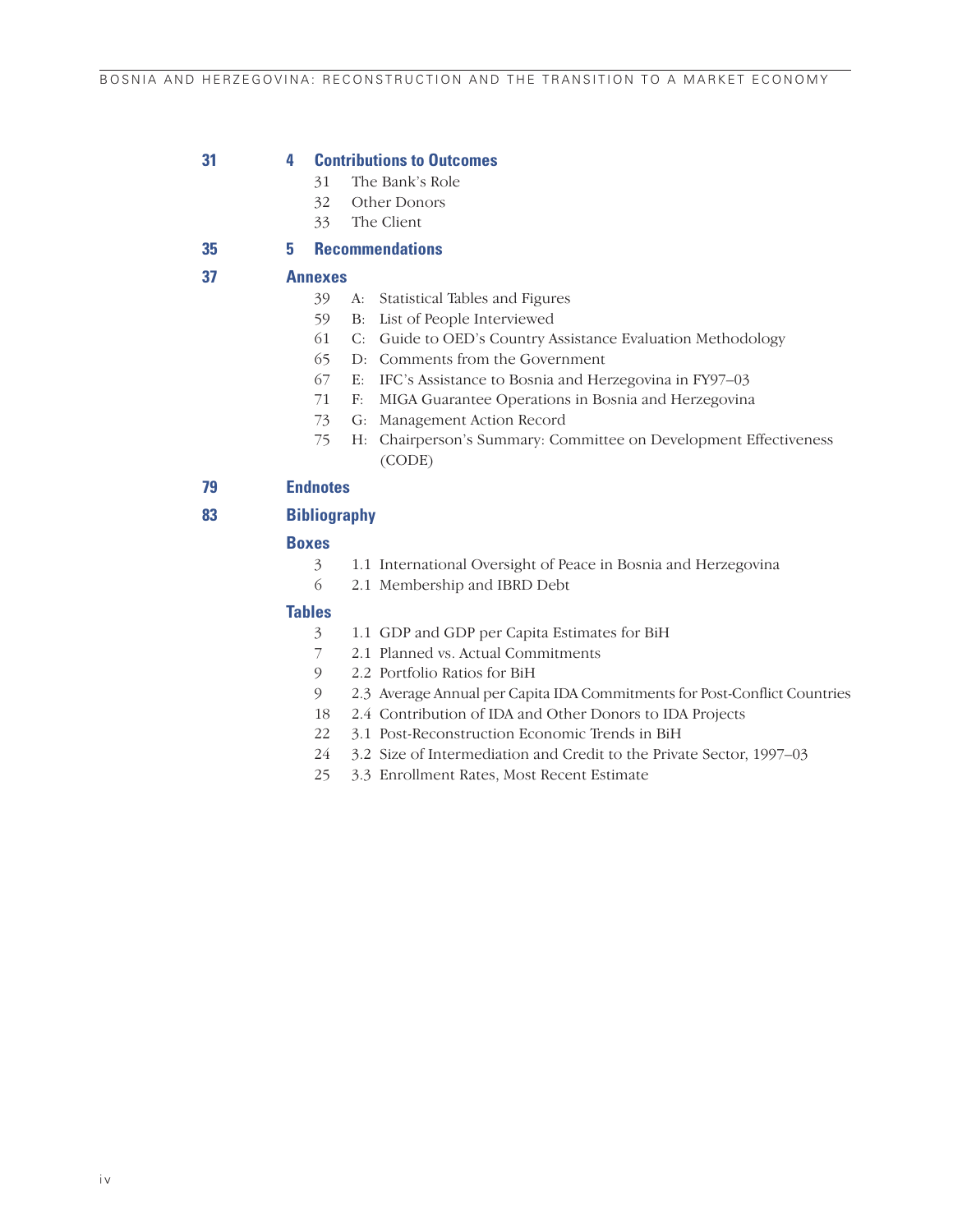## **31 4 Contributions to Outcomes**

- 31 The Bank's Role
- 32 Other Donors
- 33 The Client

## **35 5 Recommendations**

## **37 Annexes**

- 39 A: Statistical Tables and Figures
- 59 B: List of People Interviewed
- 61 C: Guide to OED's Country Assistance Evaluation Methodology
- 65 D: Comments from the Government
- 67 E: IFC's Assistance to Bosnia and Herzegovina in FY97–03
- 71 F: MIGA Guarantee Operations in Bosnia and Herzegovina
- 73 G: Management Action Record
- 75 H: Chairperson's Summary: Committee on Development Effectiveness (CODE)
- **79 Endnotes**

## **83 Bibliography**

## **Boxes**

- 3 1.1 International Oversight of Peace in Bosnia and Herzegovina
- 6 2.1 Membership and IBRD Debt

## **Tables**

- 3 1.1 GDP and GDP per Capita Estimates for BiH
- 7 2.1 Planned vs. Actual Commitments
- 9 2.2 Portfolio Ratios for BiH
- 9 2.3 Average Annual per Capita IDA Commitments for Post-Conflict Countries
- 18 2.4 Contribution of IDA and Other Donors to IDA Projects
- 22 3.1 Post-Reconstruction Economic Trends in BiH
- 24 3.2 Size of Intermediation and Credit to the Private Sector, 1997–03
- 25 3.3 Enrollment Rates, Most Recent Estimate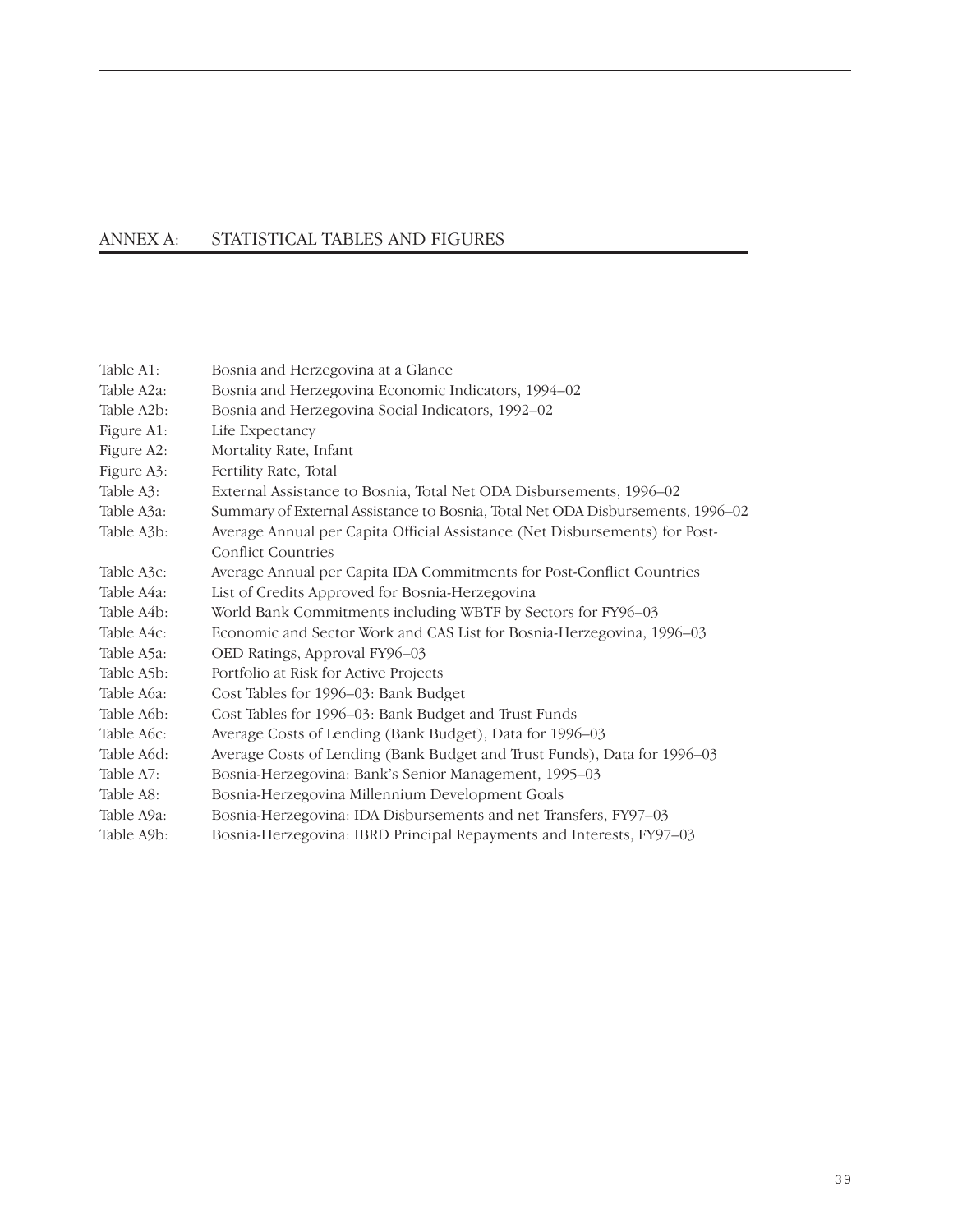## ANNEX A: STATISTICAL TABLES AND FIGURES

| Table A1:  | Bosnia and Herzegovina at a Glance                                             |
|------------|--------------------------------------------------------------------------------|
| Table A2a: | Bosnia and Herzegovina Economic Indicators, 1994-02                            |
| Table A2b: | Bosnia and Herzegovina Social Indicators, 1992-02                              |
| Figure A1: | Life Expectancy                                                                |
| Figure A2: | Mortality Rate, Infant                                                         |
| Figure A3: | Fertility Rate, Total                                                          |
| Table A3:  | External Assistance to Bosnia, Total Net ODA Disbursements, 1996-02            |
| Table A3a: | Summary of External Assistance to Bosnia, Total Net ODA Disbursements, 1996–02 |
| Table A3b: | Average Annual per Capita Official Assistance (Net Disbursements) for Post-    |
|            | <b>Conflict Countries</b>                                                      |
| Table A3c: | Average Annual per Capita IDA Commitments for Post-Conflict Countries          |
| Table A4a: | List of Credits Approved for Bosnia-Herzegovina                                |
| Table A4b: | World Bank Commitments including WBTF by Sectors for FY96-03                   |
| Table A4c: | Economic and Sector Work and CAS List for Bosnia-Herzegovina, 1996-03          |
| Table A5a: | OED Ratings, Approval FY96-03                                                  |
| Table A5b: | Portfolio at Risk for Active Projects                                          |
| Table A6a: | Cost Tables for 1996–03: Bank Budget                                           |
| Table A6b: | Cost Tables for 1996-03: Bank Budget and Trust Funds                           |
| Table A6c: | Average Costs of Lending (Bank Budget), Data for 1996–03                       |
| Table A6d: | Average Costs of Lending (Bank Budget and Trust Funds), Data for 1996–03       |
| Table A7:  | Bosnia-Herzegovina: Bank's Senior Management, 1995-03                          |
| Table A8:  | Bosnia-Herzegovina Millennium Development Goals                                |
| Table A9a: | Bosnia-Herzegovina: IDA Disbursements and net Transfers, FY97-03               |
| Table A9b: | Bosnia-Herzegovina: IBRD Principal Repayments and Interests, FY97-03           |
|            |                                                                                |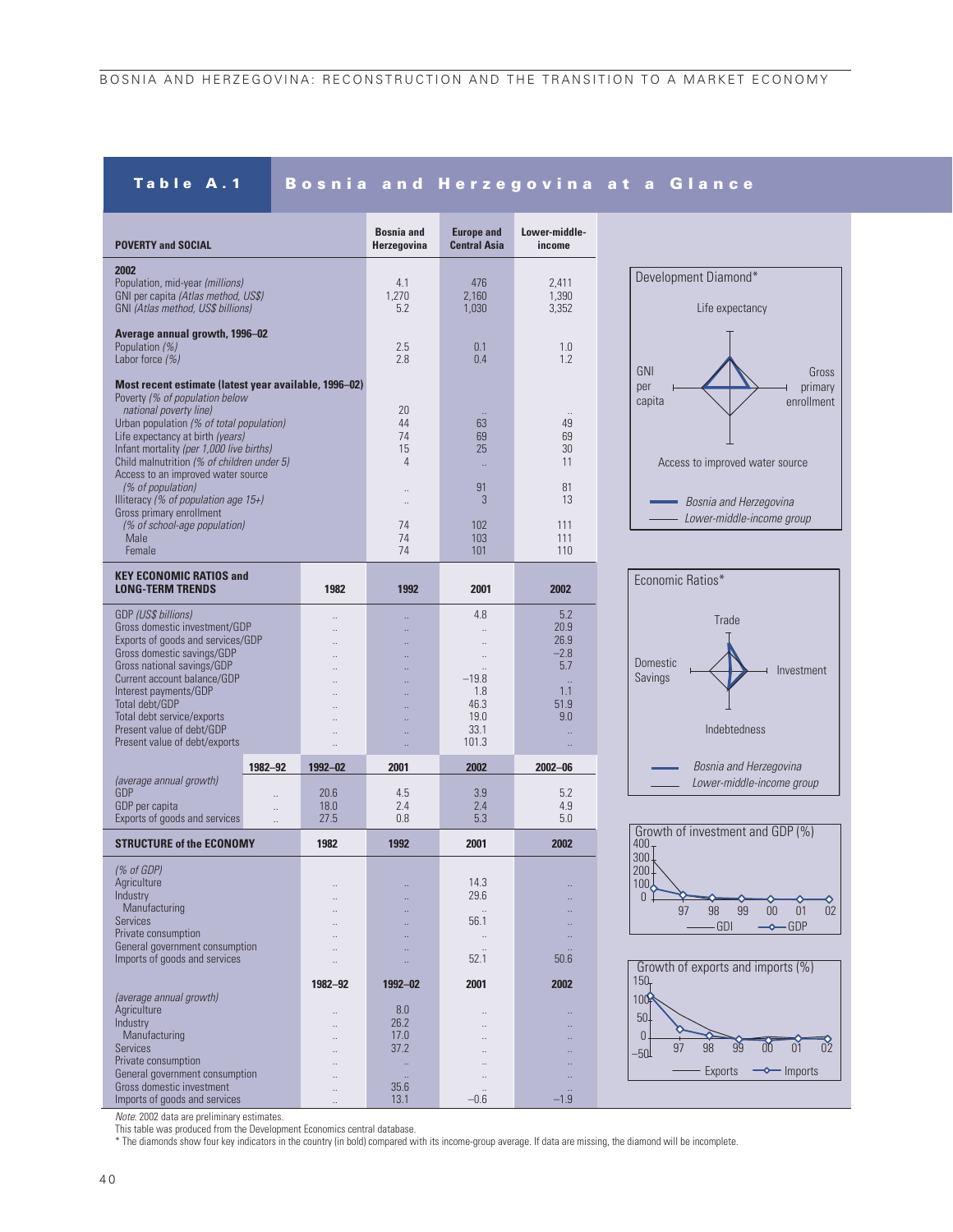## **T able A.1 Bosnia and Herzegovina at a Glance**

| <b>POVERTY and SOCIAL</b>                                                                                                                                                                                                                                                                                                   |         |                            | <b>Bosnia and</b><br>Herzegovina                               | <b>Europe and</b><br><b>Central Asia</b>                                                                                         | Lower-middle-<br>income                                                              |  |
|-----------------------------------------------------------------------------------------------------------------------------------------------------------------------------------------------------------------------------------------------------------------------------------------------------------------------------|---------|----------------------------|----------------------------------------------------------------|----------------------------------------------------------------------------------------------------------------------------------|--------------------------------------------------------------------------------------|--|
| 2002<br>Population, mid-year (millions)<br>GNI per capita (Atlas method, US\$)<br>GNI (Atlas method, US\$ billions)                                                                                                                                                                                                         |         |                            | 4.1<br>1.270<br>5.2                                            | 476<br>2,160<br>1,030                                                                                                            | 2,411<br>1,390<br>3,352                                                              |  |
| Average annual growth, 1996-02<br>Population (%)<br>Labor force (%)                                                                                                                                                                                                                                                         |         |                            | 2.5<br>2.8                                                     | 0.1<br>0.4                                                                                                                       | 1.0<br>1.2                                                                           |  |
| Most recent estimate (latest year available, 1996-02)<br>Poverty (% of population below<br>national poverty line)<br>Urban population (% of total population)<br>Life expectancy at birth (years)<br>Infant mortality (per 1,000 live births)<br>Child malnutrition (% of children under 5)                                 |         | 20<br>44<br>74<br>15<br>4  | 63<br>69<br>25<br>ä,                                           | $\ddotsc$<br>49<br>69<br>30<br>11                                                                                                |                                                                                      |  |
| Access to an improved water source<br>(% of population)<br>Illiteracy (% of population age 15+)<br>Gross primary enrollment<br>(% of school-age population)                                                                                                                                                                 |         | $\ddot{\phantom{a}}$<br>74 | 91<br>3<br>102                                                 | 81<br>13<br>111                                                                                                                  |                                                                                      |  |
| Male<br>Female                                                                                                                                                                                                                                                                                                              |         |                            | 74<br>74                                                       | 103<br>101                                                                                                                       | 111<br>110                                                                           |  |
| <b>KEY ECONOMIC RATIOS and</b><br><b>LONG-TERM TRENDS</b>                                                                                                                                                                                                                                                                   | 1982    | 1992                       | 2001                                                           | 2002                                                                                                                             |                                                                                      |  |
| GDP (US\$ billions)<br>Gross domestic investment/GDP<br>Exports of goods and services/GDP<br>Gross domestic savings/GDP<br>Gross national savings/GDP<br>Current account balance/GDP<br>Interest payments/GDP<br>Total debt/GDP<br>Total debt service/exports<br>Present value of debt/GDP<br>Present value of debt/exports |         | $\ddotsc$                  | Ω,                                                             | 4.8<br>$\ddot{\phantom{a}}$<br>$\ddot{\phantom{a}}$<br>$\ddotsc$<br>$\ddotsc$<br>$-19.8$<br>1.8<br>46.3<br>19.0<br>33.1<br>101.3 | 5.2<br>20.9<br>26.9<br>$-2.8$<br>5.7<br>1.1<br>51.9<br>9.0<br>$\ddotsc$<br>$\ddotsc$ |  |
| (average annual growth)                                                                                                                                                                                                                                                                                                     | 1982-92 | 1992-02                    | 2001                                                           | 2002                                                                                                                             | $2002 - 06$                                                                          |  |
| GDP<br>GDP per capita<br>Exports of goods and services                                                                                                                                                                                                                                                                      | $\sim$  | 20.6<br>18.0<br>27.5       | 4.5<br>2.4<br>0.8                                              | 3.9<br>2.4<br>5.3                                                                                                                | 5.2<br>4.9<br>5.0                                                                    |  |
| <b>STRUCTURE of the ECONOMY</b>                                                                                                                                                                                                                                                                                             |         | 1982                       | 1992                                                           | 2001                                                                                                                             | 2002                                                                                 |  |
| (% of GDP)<br>Agriculture<br>Industry<br>Manufacturing<br><b>Services</b><br>Private consumption<br>General government consumption<br>Imports of goods and services                                                                                                                                                         |         | $\ddotsc$                  | и,                                                             | 14.3<br>29.6<br>$\cdots$<br>56.1<br>$\ddotsc$<br>$\ldots$<br>52.1                                                                | $\ddotsc$<br>50.6                                                                    |  |
| (average annual growth)<br>Agriculture<br>Industry<br>Manufacturing<br>Services<br>Private consumption<br>General government consumption<br>Gross domestic investment                                                                                                                                                       |         | 1982-92                    | 1992-02<br>8.0<br>26.2<br>17.0<br>37.2<br>Ω,<br>$\sim$<br>35.6 | 2001<br><br>$\ddot{\phantom{a}}$<br>$\ddot{\phantom{a}}$<br><br>                                                                 | 2002<br>н,                                                                           |  |
| Imports of goods and services                                                                                                                                                                                                                                                                                               |         |                            | 13.1                                                           | $-0.6$                                                                                                                           | $-1.9$                                                                               |  |









*Note*: 2002 data are preliminary estimates.

This table was produced from the Development Economics central database.

\* The diamonds show four key indicators in the country (in bold) compared with its income-group average. If data are missing, the diamond will be incomplete.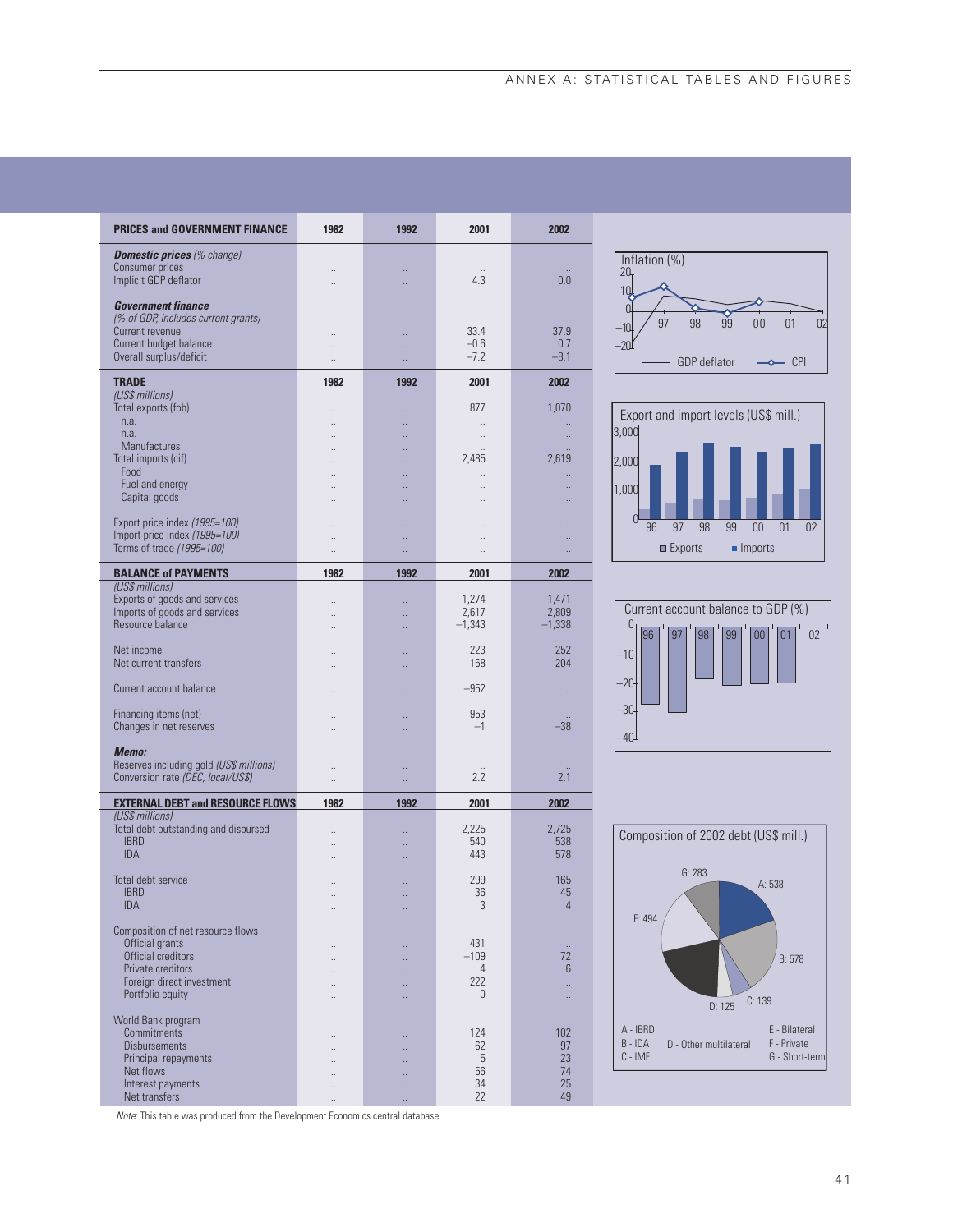| <b>PRICES and GOVERNMENT FINANCE</b>                                                                                                             | 1982                                                                     | 1992     | 2001                                             | 2002                              |
|--------------------------------------------------------------------------------------------------------------------------------------------------|--------------------------------------------------------------------------|----------|--------------------------------------------------|-----------------------------------|
| <b>Domestic prices</b> (% change)<br>Consumer prices<br>Implicit GDP deflator                                                                    |                                                                          | Ω.       | 4.3                                              | 0.0                               |
| <b>Government finance</b><br>(% of GDP, includes current grants)<br>Current revenue<br>Current budget balance                                    | <br>$\ddot{\phantom{a}}$                                                 | u        | 33.4<br>$-0.6$                                   | 37.9<br>0.7                       |
| Overall surplus/deficit                                                                                                                          | $\ddotsc$                                                                | x,       | $-7.2$                                           | $-8.1$                            |
| <b>TRADE</b>                                                                                                                                     | 1982                                                                     | 1992     | 2001                                             | 2002                              |
| (US\$ millions)<br>Total exports (fob)<br>n.a.<br>n.a.<br><b>Manufactures</b>                                                                    | $\ddot{\phantom{a}}$                                                     |          | 877<br>$\ddotsc$<br>$\ddotsc$                    | 1,070<br>.,                       |
| Total imports (cif)<br>Food                                                                                                                      | $\ddotsc$                                                                | н.       | $\ddotsc$<br>2,485                               | $\ddotsc$<br>2,619                |
| Fuel and energy<br>Capital goods                                                                                                                 | $\ddot{\phantom{a}}$<br>$\ddot{\phantom{a}}$<br>                         | и,       | $\ddot{\phantom{a}}$<br>$\ddot{\phantom{a}}$<br> | ä.<br>ä.<br>                      |
| Export price index (1995=100)<br>Import price index (1995=100)<br>Terms of trade (1995=100)                                                      | <br>$\ddot{\phantom{a}}$<br>$\ddotsc$                                    | u.<br>x, | <br>$\ddot{\phantom{a}}$<br>$\ddotsc$            | Ω.<br>Ω.<br>и,                    |
| <b>BALANCE of PAYMENTS</b>                                                                                                                       | 1982                                                                     | 1992     | 2001                                             | 2002                              |
| (US\$ millions)<br>Exports of goods and services<br>Imports of goods and services<br>Resource balance                                            | $\ddot{\phantom{a}}$                                                     | и.       | 1,274<br>2,617<br>$-1,343$                       | 1,471<br>2,809<br>$-1,338$        |
| Net income<br>Net current transfers                                                                                                              | $\ddot{\phantom{a}}$                                                     | и,       | 223<br>168                                       | 252<br>204                        |
| Current account balance                                                                                                                          |                                                                          |          | $-952$                                           | Ω,                                |
| Financing items (net)<br>Changes in net reserves                                                                                                 | <br>$\ddotsc$                                                            | Ω.       | 953<br>$-1$                                      | $-38$                             |
| Memo:<br>Reserves including gold (US\$ millions)<br>Conversion rate (DEC, local/US\$)                                                            | $\ddot{\phantom{a}}$<br>$\ddotsc$                                        | $\sim$   | 2.2                                              | 2.1                               |
| <b>EXTERNAL DEBT and RESOURCE FLOWS</b>                                                                                                          | 1982                                                                     | 1992     | 2001                                             | 2002                              |
| (US\$ millions)<br>Total debt outstanding and disbursed<br><b>IBRD</b><br><b>IDA</b>                                                             | $\ddotsc$<br>$\ddotsc$                                                   | u.<br>и, | 2,225<br>540<br>443                              | 2,725<br>538<br>578               |
| Total debt service<br><b>IBRD</b><br><b>IDA</b>                                                                                                  | $\ddot{\phantom{a}}$                                                     | Ω.       | 299<br>36<br>3                                   | 165<br>45<br>$\overline{4}$       |
| Composition of net resource flows<br>Official grants<br>Official creditors<br>Private creditors<br>Foreign direct investment<br>Portfolio equity | $\ddot{\phantom{0}}$<br>$\ddot{\phantom{a}}$                             | н.<br>u. | 431<br>$-109$<br>4<br>222<br>0                   | ÷.<br>72<br>6<br>.,<br>$\ddotsc$  |
| World Bank program<br>Commitments<br><b>Disbursements</b><br>Principal repayments<br>Net flows<br>Interest payments<br>Net transfers             | $\ddot{\phantom{a}}$<br>$\ddot{\phantom{a}}$<br><br>$\ddot{\phantom{a}}$ | u        | 124<br>62<br>5<br>56<br>34<br>22                 | 102<br>97<br>23<br>74<br>25<br>49 |









*Note*: This table was produced from the Development Economics central database.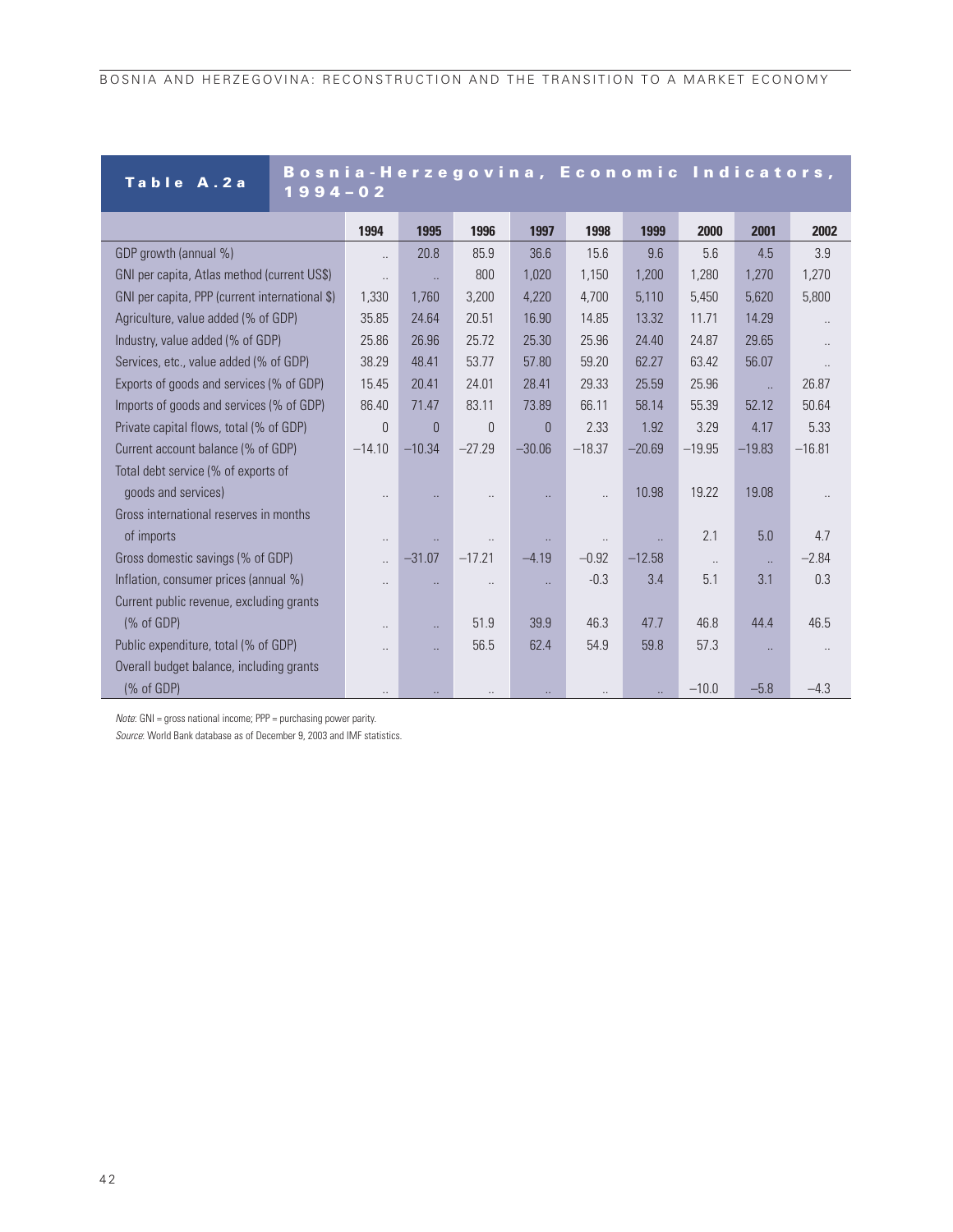| Bosnia-Herzegovina, Economic Indicators,<br>Table A.2a |                      |                      |          |                |          |           |          |          |           |
|--------------------------------------------------------|----------------------|----------------------|----------|----------------|----------|-----------|----------|----------|-----------|
| $1994 - 02$                                            |                      |                      |          |                |          |           |          |          |           |
|                                                        | 1994                 | 1995                 | 1996     | 1997           | 1998     | 1999      | 2000     | 2001     | 2002      |
| GDP growth (annual %)                                  | $\ddotsc$            | 20.8                 | 85.9     | 36.6           | 15.6     | 9.6       | 5.6      | 4.5      | 3.9       |
| GNI per capita, Atlas method (current US\$)            | $\ddot{\phantom{1}}$ | $\mathbb{Z}^2$       | 800      | 1,020          | 1,150    | 1,200     | 1,280    | 1,270    | 1,270     |
| GNI per capita, PPP (current international \$)         | 1,330                | 1,760                | 3,200    | 4,220          | 4,700    | 5,110     | 5,450    | 5,620    | 5,800     |
| Agriculture, value added (% of GDP)                    | 35.85                | 24.64                | 20.51    | 16.90          | 14.85    | 13.32     | 11.71    | 14.29    | $\ddotsc$ |
| Industry, value added (% of GDP)                       | 25.86                | 26.96                | 25.72    | 25.30          | 25.96    | 24.40     | 24.87    | 29.65    |           |
| Services, etc., value added (% of GDP)                 | 38.29                | 48.41                | 53.77    | 57.80          | 59.20    | 62.27     | 63.42    | 56.07    | $\ddotsc$ |
| Exports of goods and services (% of GDP)               | 15.45                | 20.41                | 24.01    | 28.41          | 29.33    | 25.59     | 25.96    | $\sim$   | 26.87     |
| Imports of goods and services (% of GDP)               | 86.40                | 71.47                | 83.11    | 73.89          | 66.11    | 58.14     | 55.39    | 52.12    | 50.64     |
| Private capital flows, total (% of GDP)                | 0                    | $\theta$             | $\theta$ | $\overline{0}$ | 2.33     | 1.92      | 3.29     | 4.17     | 5.33      |
| Current account balance (% of GDP)                     | $-14.10$             | $-10.34$             | $-27.29$ | $-30.06$       | $-18.37$ | $-20.69$  | $-19.95$ | $-19.83$ | $-16.81$  |
| Total debt service (% of exports of                    |                      |                      |          |                |          |           |          |          |           |
| goods and services)                                    |                      |                      |          |                | $\ldots$ | 10.98     | 19.22    | 19.08    |           |
| Gross international reserves in months                 |                      |                      |          |                |          |           |          |          |           |
| of imports                                             |                      |                      |          |                | $\ldots$ |           | 2.1      | 5.0      | 4.7       |
| Gross domestic savings (% of GDP)                      | $\ddotsc$            | $-31.07$             | $-17.21$ | $-4.19$        | $-0.92$  | $-12.58$  | $\ldots$ | $\sim$   | $-2.84$   |
| Inflation, consumer prices (annual %)                  | $\ddot{\phantom{a}}$ | $\ddot{\phantom{a}}$ |          | $\ldots$       | $-0.3$   | 3.4       | 5.1      | 3.1      | 0.3       |
| Current public revenue, excluding grants               |                      |                      |          |                |          |           |          |          |           |
| (% of GDP)                                             | $\ldots$             | $\ddotsc$            | 51.9     | 39.9           | 46.3     | 47.7      | 46.8     | 44.4     | 46.5      |
| Public expenditure, total (% of GDP)                   | $\ddotsc$            |                      | 56.5     | 62.4           | 54.9     | 59.8      | 57.3     |          |           |
| Overall budget balance, including grants               |                      |                      |          |                |          |           |          |          |           |
| (% of GDP)                                             | $\ldots$             | $\ddotsc$            | $\ldots$ | $\ldots$       | $\ldots$ | $\ddotsc$ | $-10.0$  | $-5.8$   | $-4.3$    |

*Note*: GNI = gross national income; PPP = purchasing power parity.

*Source*: World Bank database as of December 9, 2003 and IMF statistics.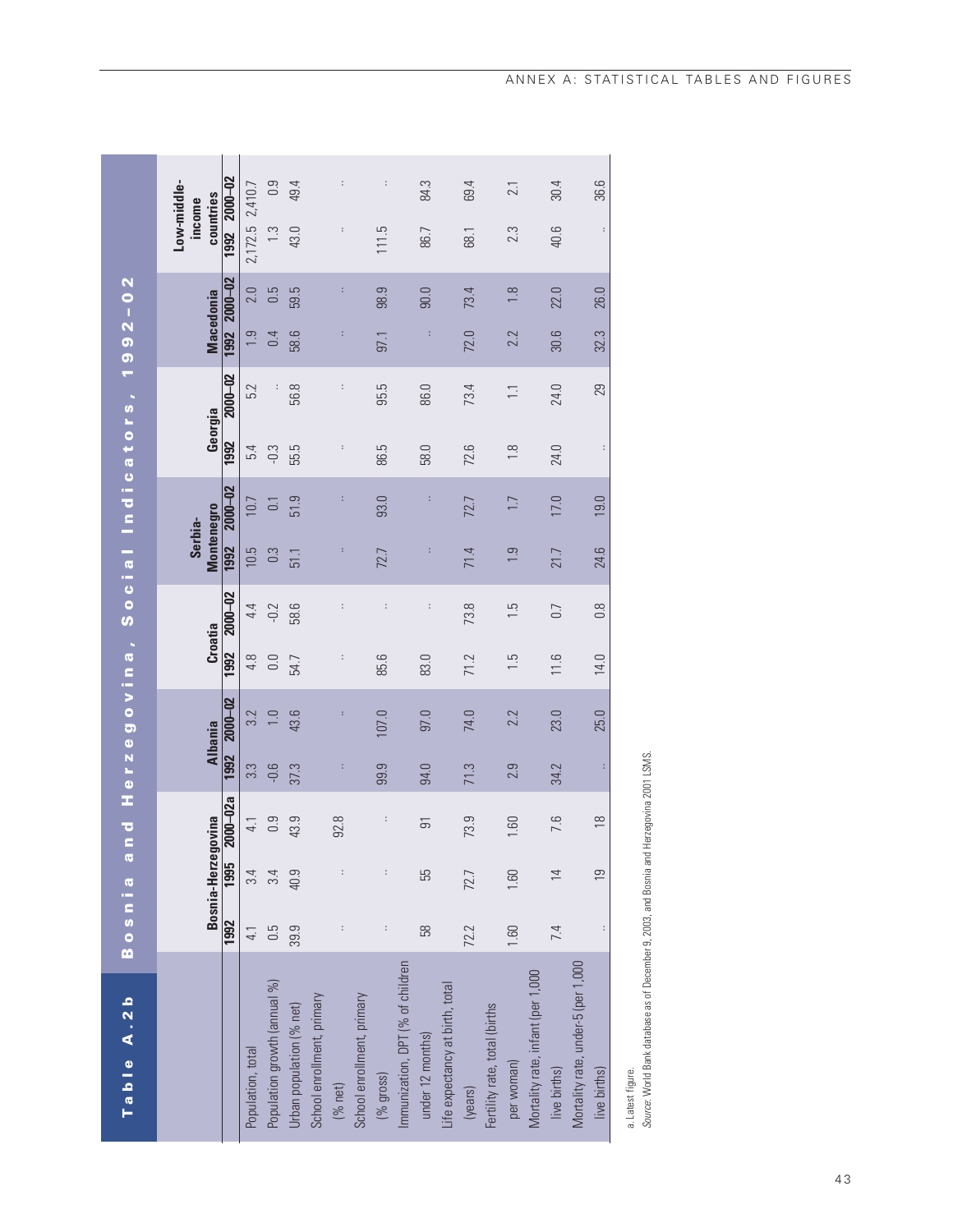|                    | Low-middle-<br>income | 1992 2000-02<br>countries     | 2,410.7           | 0.9                          | 49.4                     | :                                     |                            | ÷                    |                                  | 84.3                 |                                 | 69.4    |                               | 2.1                      |                                   | 30.4           |                                    | 36.6           |
|--------------------|-----------------------|-------------------------------|-------------------|------------------------------|--------------------------|---------------------------------------|----------------------------|----------------------|----------------------------------|----------------------|---------------------------------|---------|-------------------------------|--------------------------|-----------------------------------|----------------|------------------------------------|----------------|
|                    |                       |                               | 2,172.5           | $\frac{3}{2}$                | 43.0                     | $\vdots$                              |                            | 111.5                |                                  | 86.7                 |                                 | 68.1    |                               | 2.3                      |                                   | 40.6           |                                    | $\ddot{.}$     |
| $1992 - 02$        |                       | 2000-02                       | 2.0               | 0.5                          | 59.5                     | ÷                                     |                            | 98.9                 |                                  | 90.0                 |                                 | 73.4    |                               | 1.8                      |                                   | 22.0           |                                    | 26.0           |
|                    |                       | <b>Macedonia</b><br>1992      | $\overline{a}$    | 0.4                          | 58.6                     | ÷                                     |                            | 97.1                 |                                  | $\ddot{\phantom{a}}$ |                                 | 72.0    |                               | 2.2                      |                                   | 30.6           |                                    | 32.3           |
|                    |                       | $2000 - 02$                   | 5.2               |                              | 56.8                     | $\vdots$                              |                            | 95.5                 |                                  | 86.0                 |                                 | 73.4    |                               | $\overline{\phantom{a}}$ |                                   | 24.0           |                                    | 29             |
|                    |                       | Georgia<br>1992               | 5.4               | $-0.3$                       | 55.5                     | $\ddot{\phantom{a}}$                  |                            | 86.5                 |                                  | 58.0                 |                                 | 72.6    |                               | $\frac{8}{1}$            |                                   | 24.0           |                                    | $\vdots$       |
| Social Indicators, |                       | $2000 - 02$                   | 10.7              | $\overline{0}$ .             | 51.9                     | $\ddot{\phantom{a}}$                  |                            | 93.0                 |                                  | $\ddot{\phantom{a}}$ |                                 | 72.7    |                               | $\overline{1}$ .         |                                   | 17.0           |                                    | 19.0           |
|                    | Serbia-               | <b>Montenegro</b><br>1992     | 10.5              | 0.3                          | 51.1                     | ÷                                     |                            | 72.7                 |                                  | $\ddot{\phantom{a}}$ |                                 | 71.4    |                               | 1.9                      |                                   | 21.7           |                                    | 24.6           |
|                    | $2000 - 02$           | 4.4                           | $-0.2$            | 58.6                         | $\ddot{\phantom{a}}$     |                                       | $\ddot{\phantom{a}}$       |                      | :                                |                      | 73.8                            |         | $\ddot{5}$                    |                          | 0.7                               |                | $0.\overline{8}$                   |                |
|                    |                       | Croatia<br>1992               | 4.8               | 0.0                          | 54.7                     | $\ddot{\cdot}$                        |                            | 85.6                 |                                  | 83.0                 |                                 | 71.2    |                               | $\ddot{5}$               |                                   | 11.6           |                                    | 14.0           |
| Herzegovina,       |                       | $2000 - 02$<br><b>Albania</b> | 3.2               | $\overline{1.0}$             | 43.6                     | ÷                                     |                            | 107.0                |                                  | 97.0                 |                                 | 74.0    |                               | 2.2                      |                                   | 23.0           |                                    | 25.0           |
|                    |                       | 1992                          | 3.3               | $-0.6$                       | 37.3                     | ÷                                     |                            | 99.9                 |                                  | 94.0                 |                                 | 71.3    |                               | 2.9                      |                                   | 34.2           |                                    | ÷              |
|                    |                       | $1995$ $2000 - 02a$           | 4.1               | بن<br>$\subset$              | 43.9                     | 92.8                                  |                            | $\ddot{\phantom{a}}$ |                                  | $\overline{5}$       |                                 | 73.9    |                               | 1.60                     |                                   | 7.6            |                                    | $\frac{8}{10}$ |
| Bosnia and         |                       | Bosnia-Herzegovina            | 3.4               | 3.4                          | 40.9                     |                                       |                            | $\ddot{\phantom{a}}$ |                                  | 55                   |                                 | 72.7    |                               | 1.60                     |                                   | $\overline{1}$ |                                    | $\overline{0}$ |
|                    |                       | 1992                          | 41                | 0.5                          | 39.9                     |                                       |                            | $\ddot{\phantom{a}}$ |                                  | 58                   |                                 | 72.2    |                               | 1.60                     |                                   | 7.4            |                                    |                |
| Table A.2b         |                       |                               | Population, total | Population growth (annual %) | Urban population (% net) | School enrollment, primary<br>(% net) | School enrollment, primary | (% gross)            | Immunization, DPT (% of children | under 12 months)     | Life expectancy at birth, total | (years) | Fertility rate, total (births | per woman)               | Mortality rate, infant (per 1,000 | live births)   | Mortality rate, under-5 (per 1,000 | live births)   |
|                    |                       |                               |                   |                              |                          |                                       |                            |                      |                                  |                      |                                 |         |                               |                          |                                   |                |                                    |                |

a. Latest figure.

a. Latest figure.<br>*Source:* World Bank database as of December 9, 2003, and Bosnia and Herzegovina 2001 LSMS. *Source*: World Bank database as of December 9, 2003, and Bosnia and Herzegovina 2001 LSMS.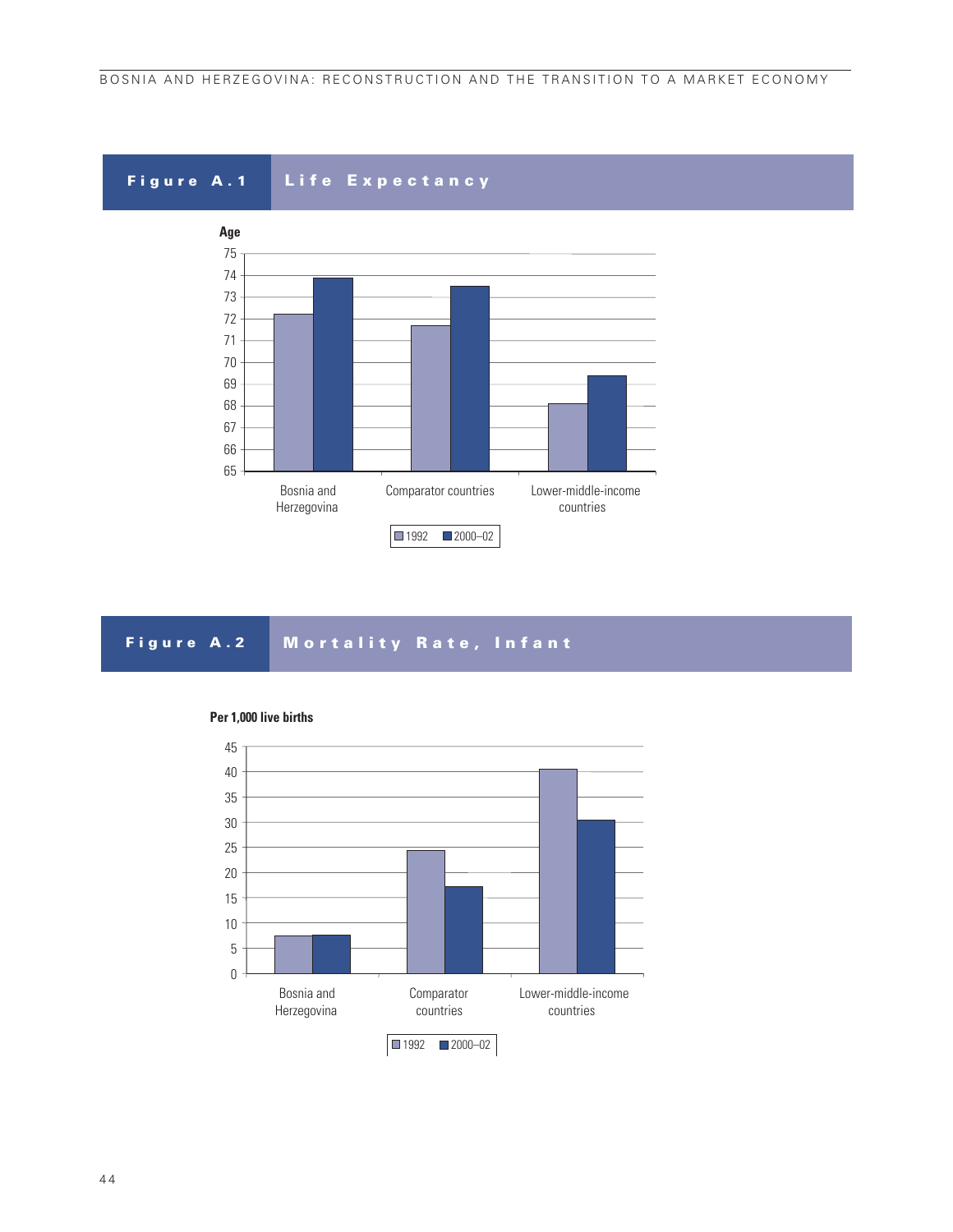

**Figure A.2 Mortality Rate, Infant**



### **Per 1,000 live births**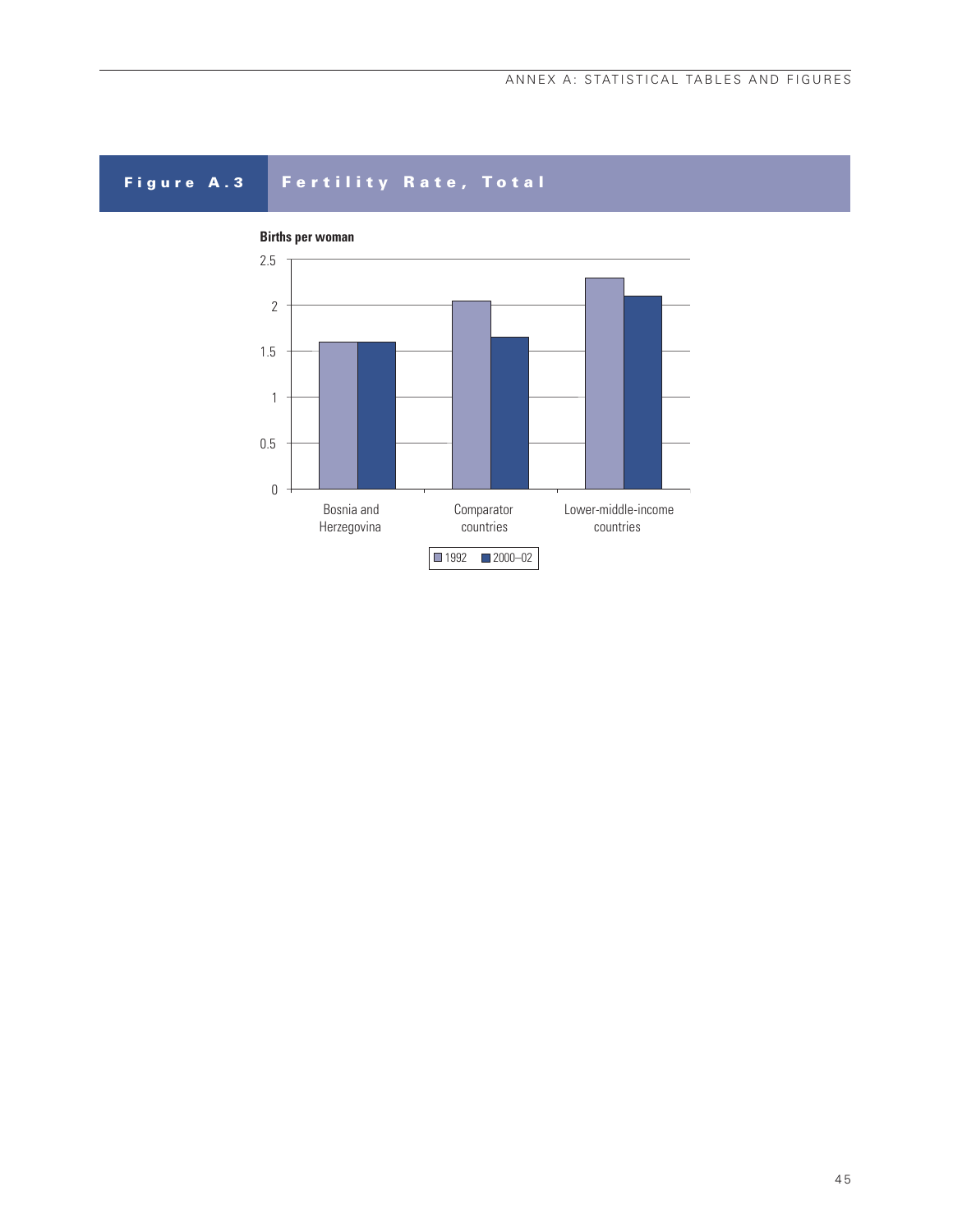## **Figure A.3 Fertility Rate, Total**

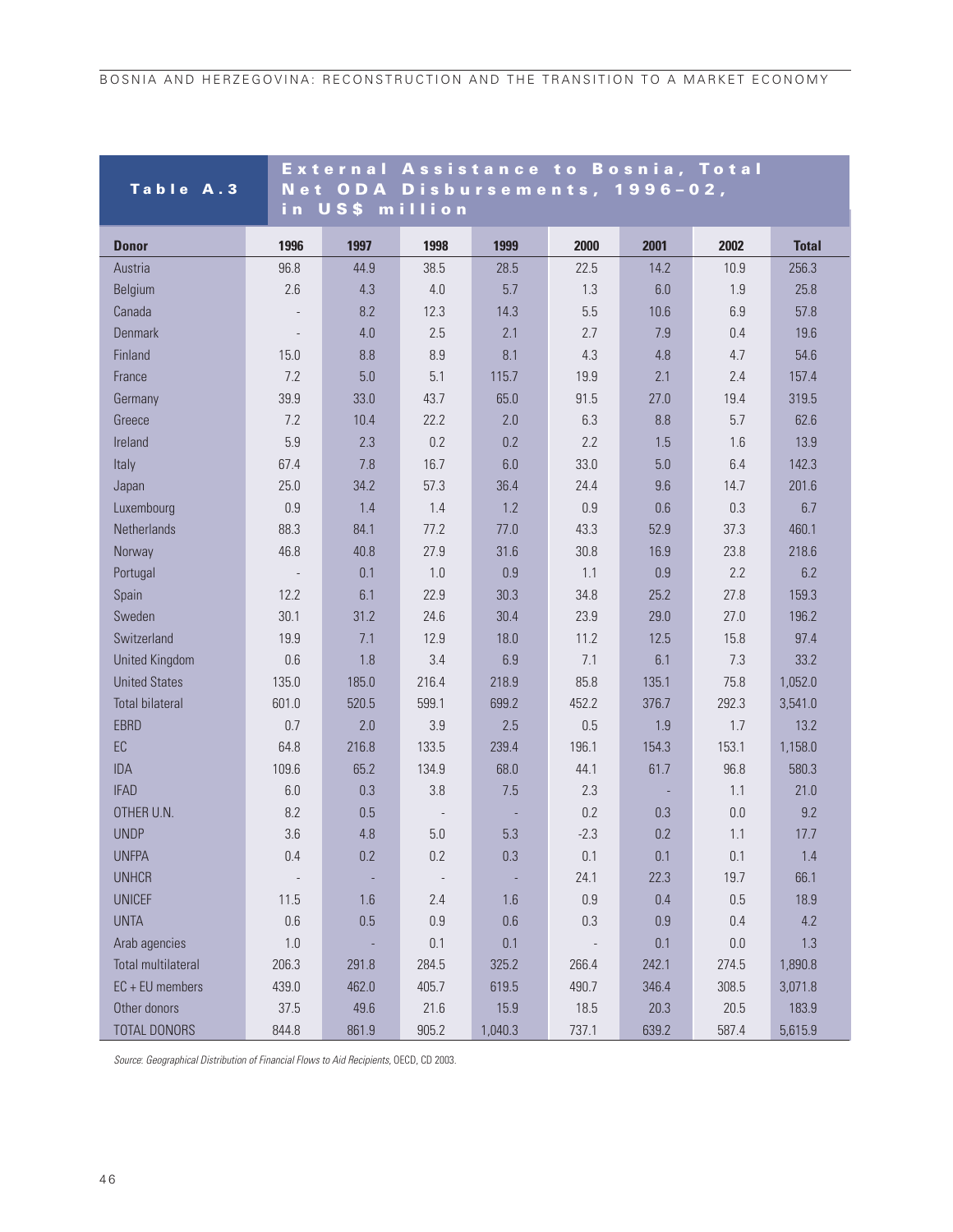| Table A.3                 |          | External<br>Net ODA<br>in US\$ million |         | Assistance to Bosnia, Total<br>Disbursements, 1996-02, |         |         |         |              |
|---------------------------|----------|----------------------------------------|---------|--------------------------------------------------------|---------|---------|---------|--------------|
| <b>Donor</b>              | 1996     | 1997                                   | 1998    | 1999                                                   | 2000    | 2001    | 2002    | <b>Total</b> |
| Austria                   | 96.8     | 44.9                                   | 38.5    | 28.5                                                   | 22.5    | 14.2    | 10.9    | 256.3        |
| Belgium                   | 2.6      | 4.3                                    | 4.0     | 5.7                                                    | 1.3     | 6.0     | 1.9     | 25.8         |
| Canada                    |          | 8.2                                    | 12.3    | 14.3                                                   | 5.5     | 10.6    | 6.9     | 57.8         |
| <b>Denmark</b>            |          | 4.0                                    | 2.5     | 2.1                                                    | 2.7     | 7.9     | 0.4     | 19.6         |
| Finland                   | 15.0     | $\,8.8$                                | 8.9     | 8.1                                                    | 4.3     | 4.8     | 4.7     | 54.6         |
| France                    | 7.2      | 5.0                                    | 5.1     | 115.7                                                  | 19.9    | 2.1     | 2.4     | 157.4        |
| Germany                   | 39.9     | 33.0                                   | 43.7    | 65.0                                                   | 91.5    | 27.0    | 19.4    | 319.5        |
| Greece                    | 7.2      | 10.4                                   | 22.2    | 2.0                                                    | 6.3     | 8.8     | 5.7     | 62.6         |
| Ireland                   | 5.9      | 2.3                                    | 0.2     | 0.2                                                    | 2.2     | 1.5     | 1.6     | 13.9         |
| Italy                     | 67.4     | 7.8                                    | 16.7    | $6.0\,$                                                | 33.0    | $5.0\,$ | 6.4     | 142.3        |
| Japan                     | 25.0     | 34.2                                   | 57.3    | 36.4                                                   | 24.4    | 9.6     | 14.7    | 201.6        |
| Luxembourg                | 0.9      | 1.4                                    | 1.4     | 1.2                                                    | 0.9     | 0.6     | 0.3     | 6.7          |
| Netherlands               | 88.3     | 84.1                                   | 77.2    | 77.0                                                   | 43.3    | 52.9    | 37.3    | 460.1        |
| Norway                    | 46.8     | 40.8                                   | 27.9    | 31.6                                                   | 30.8    | 16.9    | 23.8    | 218.6        |
| Portugal                  |          | 0.1                                    | $1.0\,$ | 0.9                                                    | 1.1     | 0.9     | 2.2     | 6.2          |
| Spain                     | 12.2     | 6.1                                    | 22.9    | 30.3                                                   | 34.8    | 25.2    | 27.8    | 159.3        |
| Sweden                    | 30.1     | 31.2                                   | 24.6    | 30.4                                                   | 23.9    | 29.0    | 27.0    | 196.2        |
| Switzerland               | 19.9     | 7.1                                    | 12.9    | 18.0                                                   | 11.2    | 12.5    | 15.8    | 97.4         |
| <b>United Kingdom</b>     | 0.6      | 1.8                                    | 3.4     | 6.9                                                    | 7.1     | 6.1     | 7.3     | 33.2         |
| <b>United States</b>      | 135.0    | 185.0                                  | 216.4   | 218.9                                                  | 85.8    | 135.1   | 75.8    | 1,052.0      |
| <b>Total bilateral</b>    | 601.0    | 520.5                                  | 599.1   | 699.2                                                  | 452.2   | 376.7   | 292.3   | 3,541.0      |
| EBRD                      | 0.7      | 2.0                                    | 3.9     | 2.5                                                    | 0.5     | 1.9     | 1.7     | 13.2         |
| EC                        | 64.8     | 216.8                                  | 133.5   | 239.4                                                  | 196.1   | 154.3   | 153.1   | 1,158.0      |
| IDA                       | 109.6    | 65.2                                   | 134.9   | 68.0                                                   | 44.1    | 61.7    | 96.8    | 580.3        |
| <b>IFAD</b>               | 6.0      | 0.3                                    | 3.8     | 7.5                                                    | 2.3     |         | 1.1     | 21.0         |
| OTHER U.N.                | 8.2      | 0.5                                    |         | $\overline{\phantom{a}}$                               | 0.2     | 0.3     | 0.0     | 9.2          |
| <b>UNDP</b>               | 3.6      | 4.8                                    | 5.0     | 5.3                                                    | $-2.3$  | 0.2     | 1.1     | 17.7         |
| <b>UNFPA</b>              | $0.4\,$  | $0.2\,$                                | $0.2\,$ | $0.3\,$                                                | $0.1\,$ | $0.1\,$ | 0.1     | 1.4          |
| <b>UNHCR</b>              |          |                                        |         |                                                        | 24.1    | 22.3    | 19.7    | 66.1         |
| <b>UNICEF</b>             | 11.5     | 1.6                                    | 2.4     | 1.6                                                    | $0.9\,$ | 0.4     | 0.5     | 18.9         |
| <b>UNTA</b>               | 0.6      | 0.5                                    | 0.9     | 0.6                                                    | $0.3\,$ | 0.9     | 0.4     | 4.2          |
| Arab agencies             | $1.0\,$  |                                        | 0.1     | 0.1                                                    |         | 0.1     | $0.0\,$ | 1.3          |
| <b>Total multilateral</b> | 206.3    | 291.8                                  | 284.5   | 325.2                                                  | 266.4   | 242.1   | 274.5   | 1,890.8      |
| $EC + EU$ members         | 439.0    | 462.0                                  | 405.7   | 619.5                                                  | 490.7   | 346.4   | 308.5   | 3,071.8      |
| Other donors              | $37.5\,$ | 49.6                                   | 21.6    | 15.9                                                   | 18.5    | 20.3    | 20.5    | 183.9        |
| TOTAL DONORS              | 844.8    | 861.9                                  | 905.2   | 1,040.3                                                | 737.1   | 639.2   | 587.4   | 5,615.9      |

*Source*: *Geographical Distribution of Financial Flows to Aid Recipients*, OECD, CD 2003.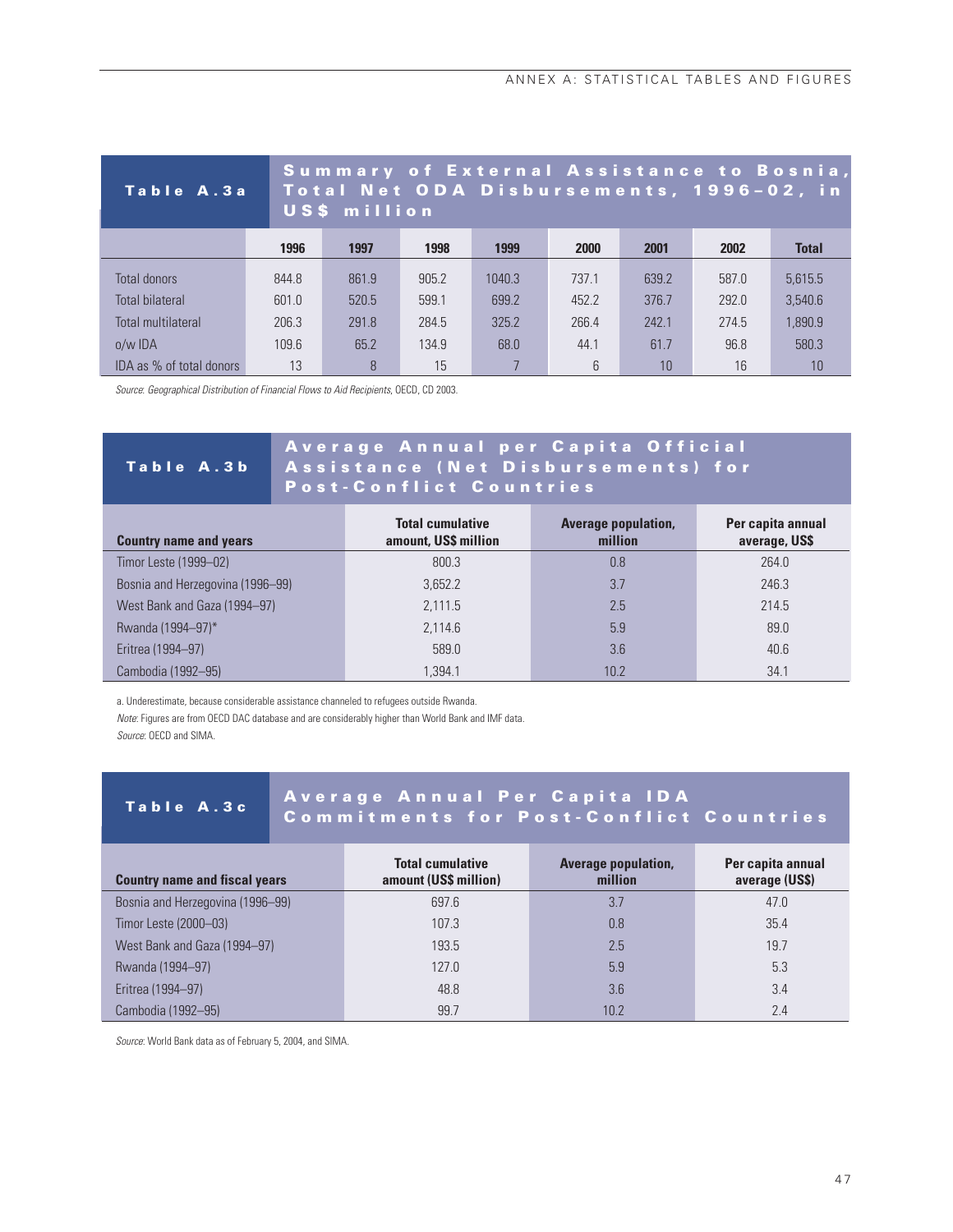| Table A.3a               |       | Summary of External Assistance to Bosnia,<br>Total Net ODA Disbursements, 1996-02, in<br>US\$ million |       |        |       |       |       |              |  |  |  |  |
|--------------------------|-------|-------------------------------------------------------------------------------------------------------|-------|--------|-------|-------|-------|--------------|--|--|--|--|
|                          | 1996  | 1997                                                                                                  | 1998  | 1999   | 2000  | 2001  | 2002  | <b>Total</b> |  |  |  |  |
| Total donors             | 844.8 | 861.9                                                                                                 | 905.2 | 1040.3 | 737.1 | 639.2 | 587.0 | 5,615.5      |  |  |  |  |
| <b>Total bilateral</b>   | 601.0 | 520.5                                                                                                 | 599.1 | 699.2  | 452.2 | 376.7 | 292.0 | 3,540.6      |  |  |  |  |
| Total multilateral       | 206.3 | 291.8                                                                                                 | 284.5 | 325.2  | 266.4 | 242.1 | 274.5 | 1.890.9      |  |  |  |  |
| o/w IDA                  | 109.6 | 65.2                                                                                                  | 134.9 | 68.0   | 44.1  | 61.7  | 96.8  | 580.3        |  |  |  |  |
| IDA as % of total donors | 13    | 8                                                                                                     | 15    |        | 6     | 10    | 16    | 10           |  |  |  |  |

*Source*: *Geographical Distribution of Financial Flows to Aid Recipients*, OECD, CD 2003.

### **A verage Annual per Capita Official Assistance (Net Disbursements) for Post-Conflict Countries T able A.3b**

| <b>Country name and years</b>    | <b>Total cumulative</b><br>amount, US\$ million | <b>Average population,</b><br>million | Per capita annual<br>average, US\$ |
|----------------------------------|-------------------------------------------------|---------------------------------------|------------------------------------|
| Timor Leste (1999-02)            | 800.3                                           | 0.8                                   | 264.0                              |
| Bosnia and Herzegovina (1996-99) | 3,652.2                                         | 3.7                                   | 246.3                              |
| West Bank and Gaza (1994-97)     | 2,111.5                                         | 2.5                                   | 214.5                              |
| Rwanda (1994-97)*                | 2,114.6                                         | 5.9                                   | 89.0                               |
| Eritrea (1994-97)                | 589.0                                           | 3.6                                   | 40.6                               |
| Cambodia (1992-95)               | 1.394.1                                         | 10.2                                  | 34.1                               |

a. Underestimate, because considerable assistance channeled to refugees outside Rwanda.

*Note*: Figures are from OECD DAC database and are considerably higher than World Bank and IMF data. *Source*: OECD and SIMA.

| Table A.3c                           |  | Average Annual Per Capita IDA<br><b>Commitments for Post-Conflict Countries</b> |                                       |                                     |  |  |  |  |  |  |
|--------------------------------------|--|---------------------------------------------------------------------------------|---------------------------------------|-------------------------------------|--|--|--|--|--|--|
| <b>Country name and fiscal years</b> |  | <b>Total cumulative</b><br>amount (US\$ million)                                | <b>Average population,</b><br>million | Per capita annual<br>average (US\$) |  |  |  |  |  |  |
| Bosnia and Herzegovina (1996–99)     |  | 697.6                                                                           | 3.7                                   | 47.0                                |  |  |  |  |  |  |
| Timor Leste (2000–03)                |  | 107.3                                                                           | 0.8                                   | 35.4                                |  |  |  |  |  |  |
| West Bank and Gaza (1994–97)         |  | 193.5                                                                           | 2.5                                   | 19.7                                |  |  |  |  |  |  |
| Rwanda (1994–97)                     |  | 127.0                                                                           | 5.9                                   | 5.3                                 |  |  |  |  |  |  |
| Eritrea (1994-97)                    |  | 48.8                                                                            | 3.6                                   | 3.4                                 |  |  |  |  |  |  |
| Cambodia (1992–95)                   |  | 99.7                                                                            | 10.2                                  | 2.4                                 |  |  |  |  |  |  |

*Source*: World Bank data as of February 5, 2004, and SIMA.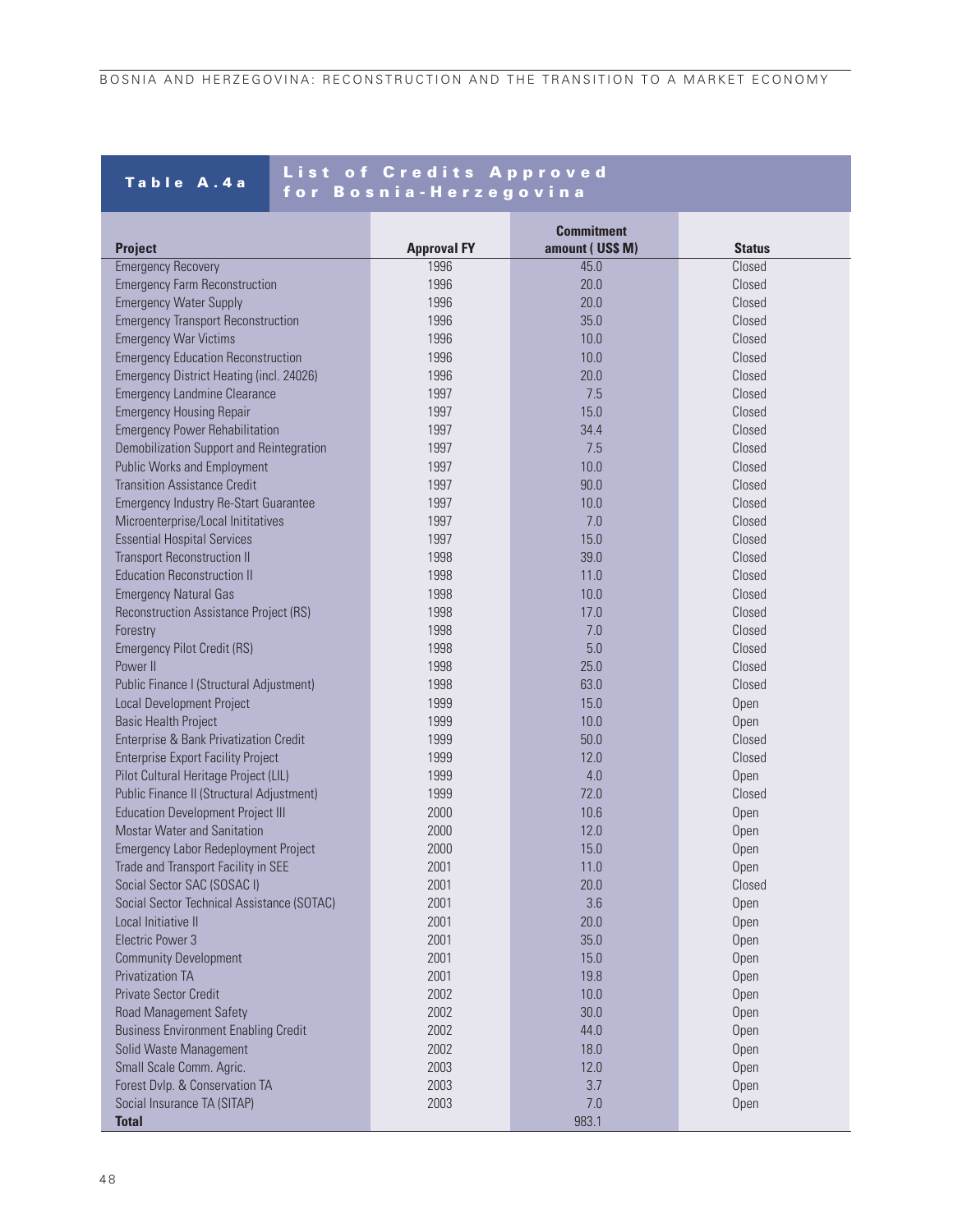## **List of Credits Approved for Bosnia-Herzegovina T able A.4a**

|                                              |                    | <b>Commitment</b> |               |
|----------------------------------------------|--------------------|-------------------|---------------|
| <b>Project</b>                               | <b>Approval FY</b> | amount (US\$ M)   | <b>Status</b> |
| <b>Emergency Recovery</b>                    | 1996               | 45.0              | Closed        |
| <b>Emergency Farm Reconstruction</b>         | 1996               | 20.0              | Closed        |
| <b>Emergency Water Supply</b>                | 1996               | 20.0              | Closed        |
| <b>Emergency Transport Reconstruction</b>    | 1996               | 35.0              | Closed        |
| <b>Emergency War Victims</b>                 | 1996               | 10.0              | Closed        |
| <b>Emergency Education Reconstruction</b>    | 1996               | 10.0              | Closed        |
| Emergency District Heating (incl. 24026)     | 1996               | 20.0              | Closed        |
| <b>Emergency Landmine Clearance</b>          | 1997               | 7.5               | Closed        |
| <b>Emergency Housing Repair</b>              | 1997               | 15.0              | Closed        |
| <b>Emergency Power Rehabilitation</b>        | 1997               | 34.4              | Closed        |
| Demobilization Support and Reintegration     | 1997               | 7.5               | Closed        |
| <b>Public Works and Employment</b>           | 1997               | 10.0              | Closed        |
| <b>Transition Assistance Credit</b>          | 1997               | 90.0              | Closed        |
| <b>Emergency Industry Re-Start Guarantee</b> | 1997               | 10.0              | Closed        |
| Microenterprise/Local Inititatives           | 1997               | 7.0               | Closed        |
| <b>Essential Hospital Services</b>           | 1997               | 15.0              | Closed        |
| <b>Transport Reconstruction II</b>           | 1998               | 39.0              | Closed        |
| <b>Education Reconstruction II</b>           | 1998               | 11.0              | Closed        |
| <b>Emergency Natural Gas</b>                 | 1998               | 10.0              | Closed        |
| Reconstruction Assistance Project (RS)       | 1998               | 17.0              | Closed        |
| Forestry                                     | 1998               | 7.0               | Closed        |
| <b>Emergency Pilot Credit (RS)</b>           | 1998               | 5.0               | Closed        |
| Power II                                     | 1998               | 25.0              | Closed        |
| Public Finance I (Structural Adjustment)     | 1998               | 63.0              | Closed        |
| Local Development Project                    | 1999               | 15.0              | Open          |
| <b>Basic Health Project</b>                  | 1999               | 10.0              | Open          |
| Enterprise & Bank Privatization Credit       | 1999               | 50.0              | Closed        |
| <b>Enterprise Export Facility Project</b>    | 1999               | 12.0              | Closed        |
| Pilot Cultural Heritage Project (LIL)        | 1999               | 4.0               | Open          |
| Public Finance II (Structural Adjustment)    | 1999               | 72.0              | Closed        |
| <b>Education Development Project III</b>     | 2000               | 10.6              | Open          |
| <b>Mostar Water and Sanitation</b>           | 2000               | 12.0              | Open          |
| Emergency Labor Redeployment Project         | 2000               | 15.0              | Open          |
| Trade and Transport Facility in SEE          | 2001               | 11.0              | Open          |
| Social Sector SAC (SOSAC I)                  | 2001               | 20.0              | Closed        |
| Social Sector Technical Assistance (SOTAC)   | 2001               | 3.6               | Open          |
| Local Initiative II                          | 2001               | 20.0              | <b>Open</b>   |
| <b>Electric Power 3</b>                      | 2001               | 35.0              | Open          |
| <b>Community Development</b>                 | 2001               | 15.0              | Open          |
| Privatization TA                             | 2001               | 19.8              | Open          |
| <b>Private Sector Credit</b>                 | 2002               | 10.0              | Open          |
| <b>Road Management Safety</b>                | 2002               | 30.0              | Open          |
| <b>Business Environment Enabling Credit</b>  | 2002               | 44.0              | Open          |
| Solid Waste Management                       | 2002               | 18.0              | Open          |
| Small Scale Comm. Agric.                     | 2003               | 12.0              | Open          |
| Forest Dvlp. & Conservation TA               | 2003               | 3.7               | Open          |
| Social Insurance TA (SITAP)                  | 2003               | 7.0               | Open          |
| <b>Total</b>                                 |                    | 983.1             |               |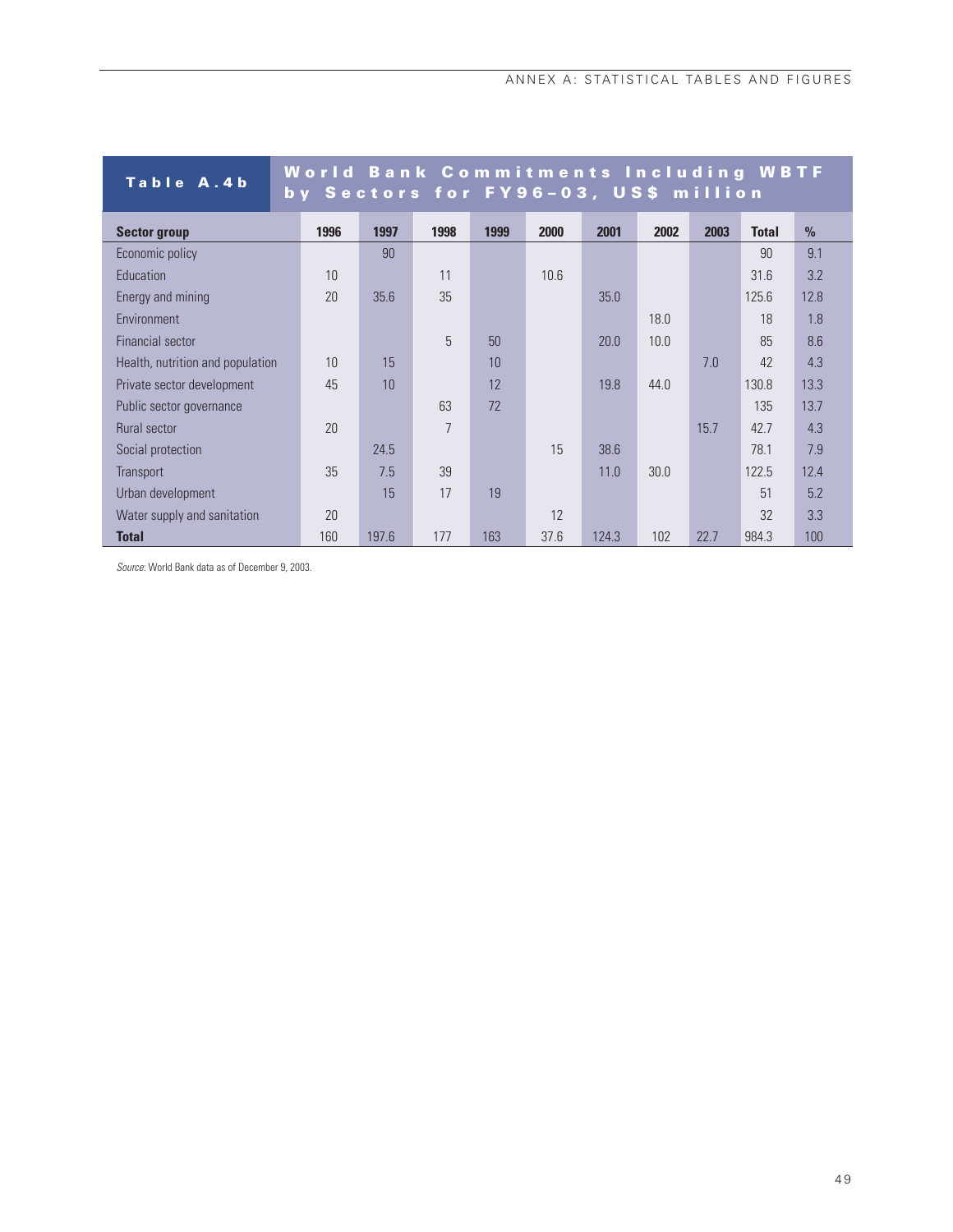| Table A.4b                       | <b>World Bank Commitments Including WBTF</b><br>by Sectors for FY96-03, US\$ million |       |                |      |      |       |      |      |              |               |  |
|----------------------------------|--------------------------------------------------------------------------------------|-------|----------------|------|------|-------|------|------|--------------|---------------|--|
| <b>Sector group</b>              | 1996                                                                                 | 1997  | 1998           | 1999 | 2000 | 2001  | 2002 | 2003 | <b>Total</b> | $\frac{0}{0}$ |  |
| Economic policy                  |                                                                                      | 90    |                |      |      |       |      |      | 90           | 9.1           |  |
| <b>Education</b>                 | 10                                                                                   |       | 11             |      | 10.6 |       |      |      | 31.6         | 3.2           |  |
| Energy and mining                | 20                                                                                   | 35.6  | 35             |      |      | 35.0  |      |      | 125.6        | 12.8          |  |
| Environment                      |                                                                                      |       |                |      |      |       | 18.0 |      | 18           | 1.8           |  |
| Financial sector                 |                                                                                      |       | 5              | 50   |      | 20.0  | 10.0 |      | 85           | 8.6           |  |
| Health, nutrition and population | 10                                                                                   | 15    |                | 10   |      |       |      | 7.0  | 42           | 4.3           |  |
| Private sector development       | 45                                                                                   | 10    |                | 12   |      | 19.8  | 44.0 |      | 130.8        | 13.3          |  |
| Public sector governance         |                                                                                      |       | 63             | 72   |      |       |      |      | 135          | 13.7          |  |
| Rural sector                     | 20                                                                                   |       | $\overline{7}$ |      |      |       |      | 15.7 | 42.7         | 4.3           |  |
| Social protection                |                                                                                      | 24.5  |                |      | 15   | 38.6  |      |      | 78.1         | 7.9           |  |
| <b>Transport</b>                 | 35                                                                                   | 7.5   | 39             |      |      | 11.0  | 30.0 |      | 122.5        | 12.4          |  |
| Urban development                |                                                                                      | 15    | 17             | 19   |      |       |      |      | 51           | 5.2           |  |
| Water supply and sanitation      | 20                                                                                   |       |                |      | 12   |       |      |      | 32           | 3.3           |  |
| <b>Total</b>                     | 160                                                                                  | 197.6 | 177            | 163  | 37.6 | 124.3 | 102  | 22.7 | 984.3        | 100           |  |

*Source*: World Bank data as of December 9, 2003.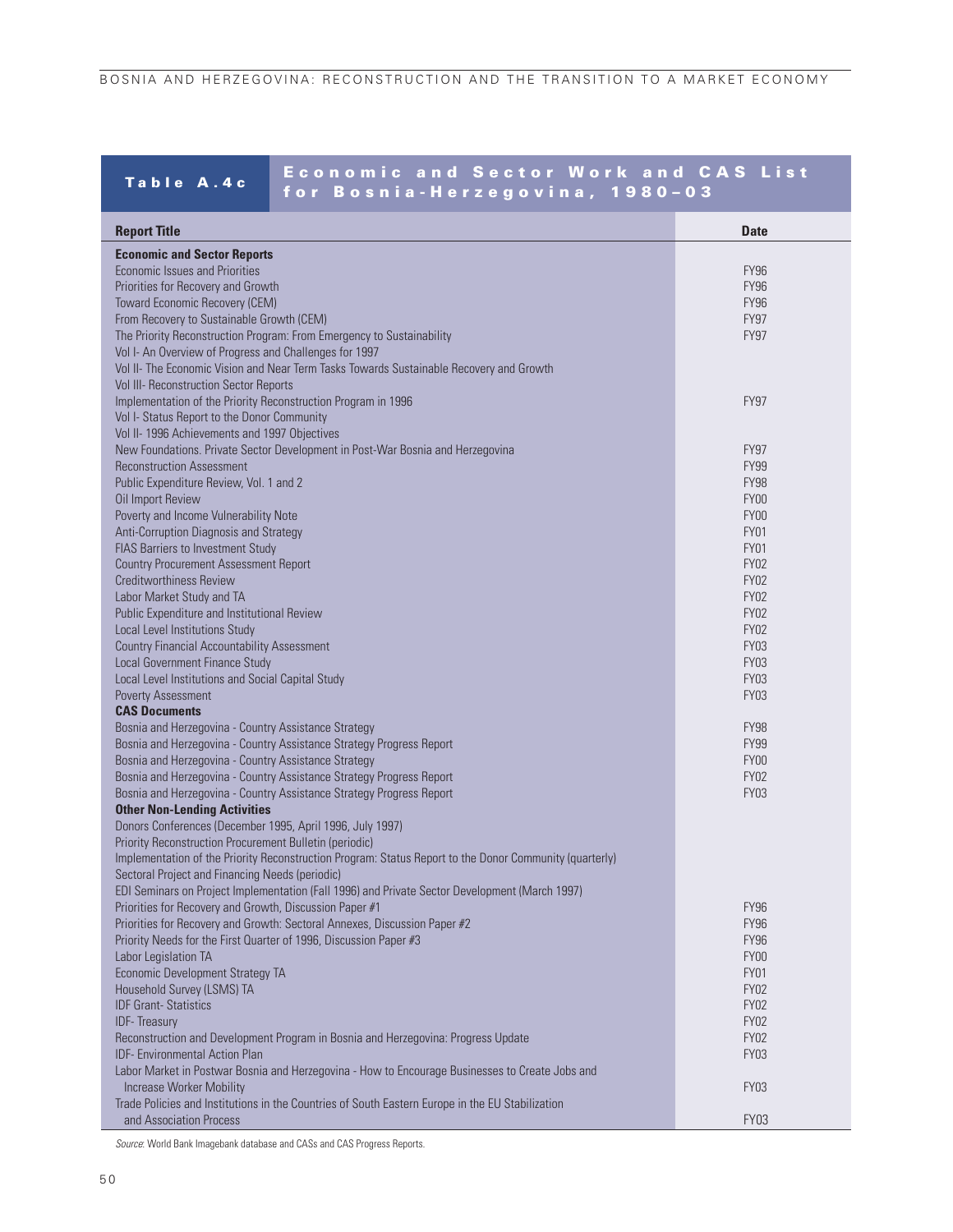**Economic and Sector Work and CAS List**

| CONOMIC ANU SECLOI WOIK ANU CAS LIS<br>Table A.4c<br>for Bosnia-Herzegovina, 1980-03                    |             |
|---------------------------------------------------------------------------------------------------------|-------------|
| <b>Report Title</b>                                                                                     | <b>Date</b> |
| <b>Economic and Sector Reports</b>                                                                      |             |
| Economic Issues and Priorities                                                                          | <b>FY96</b> |
| Priorities for Recovery and Growth                                                                      | <b>FY96</b> |
| Toward Economic Recovery (CEM)                                                                          | <b>FY96</b> |
| From Recovery to Sustainable Growth (CEM)                                                               | <b>FY97</b> |
| The Priority Reconstruction Program: From Emergency to Sustainability                                   | <b>FY97</b> |
| Vol I- An Overview of Progress and Challenges for 1997                                                  |             |
| Vol II- The Economic Vision and Near Term Tasks Towards Sustainable Recovery and Growth                 |             |
| Vol III- Reconstruction Sector Reports                                                                  |             |
| Implementation of the Priority Reconstruction Program in 1996                                           | <b>FY97</b> |
| Vol I- Status Report to the Donor Community                                                             |             |
| Vol II-1996 Achievements and 1997 Objectives                                                            |             |
| New Foundations. Private Sector Development in Post-War Bosnia and Herzegovina                          | <b>FY97</b> |
| <b>Reconstruction Assessment</b>                                                                        | <b>FY99</b> |
| Public Expenditure Review, Vol. 1 and 2                                                                 | FY98        |
| Oil Import Review                                                                                       | <b>FY00</b> |
|                                                                                                         | <b>FY00</b> |
| Poverty and Income Vulnerability Note                                                                   |             |
| Anti-Corruption Diagnosis and Strategy                                                                  | <b>FY01</b> |
| FIAS Barriers to Investment Study                                                                       | <b>FY01</b> |
| <b>Country Procurement Assessment Report</b>                                                            | <b>FY02</b> |
| <b>Creditworthiness Review</b>                                                                          | <b>FY02</b> |
| Labor Market Study and TA                                                                               | <b>FY02</b> |
| Public Expenditure and Institutional Review                                                             | <b>FY02</b> |
| Local Level Institutions Study                                                                          | <b>FY02</b> |
| <b>Country Financial Accountability Assessment</b>                                                      | <b>FY03</b> |
| Local Government Finance Study                                                                          | <b>FY03</b> |
| Local Level Institutions and Social Capital Study                                                       | <b>FY03</b> |
| <b>Poverty Assessment</b>                                                                               | <b>FY03</b> |
| <b>CAS Documents</b>                                                                                    |             |
| Bosnia and Herzegovina - Country Assistance Strategy                                                    | <b>FY98</b> |
| Bosnia and Herzegovina - Country Assistance Strategy Progress Report                                    | <b>FY99</b> |
| Bosnia and Herzegovina - Country Assistance Strategy                                                    | <b>FY00</b> |
| Bosnia and Herzegovina - Country Assistance Strategy Progress Report                                    | <b>FY02</b> |
| Bosnia and Herzegovina - Country Assistance Strategy Progress Report                                    | <b>FY03</b> |
| <b>Other Non-Lending Activities</b>                                                                     |             |
| Donors Conferences (December 1995, April 1996, July 1997)                                               |             |
| Priority Reconstruction Procurement Bulletin (periodic)                                                 |             |
| Implementation of the Priority Reconstruction Program: Status Report to the Donor Community (quarterly) |             |
| Sectoral Project and Financing Needs (periodic)                                                         |             |
| EDI Seminars on Project Implementation (Fall 1996) and Private Sector Development (March 1997)          |             |
| Priorities for Recovery and Growth, Discussion Paper #1                                                 | <b>FY96</b> |
| Priorities for Recovery and Growth: Sectoral Annexes, Discussion Paper #2                               | <b>FY96</b> |
| Priority Needs for the First Quarter of 1996, Discussion Paper #3                                       | <b>FY96</b> |
| Labor Legislation TA                                                                                    | <b>FY00</b> |
| <b>Economic Development Strategy TA</b>                                                                 | <b>FY01</b> |
| Household Survey (LSMS) TA                                                                              | <b>FY02</b> |
| <b>IDF Grant-Statistics</b>                                                                             | <b>FY02</b> |
| <b>IDF-Treasury</b>                                                                                     | <b>FY02</b> |
| Reconstruction and Development Program in Bosnia and Herzegovina: Progress Update                       | <b>FY02</b> |
| <b>IDF- Environmental Action Plan</b>                                                                   | <b>FY03</b> |
| Labor Market in Postwar Bosnia and Herzegovina - How to Encourage Businesses to Create Jobs and         |             |
| Increase Worker Mobility                                                                                | <b>FY03</b> |
| Trade Policies and Institutions in the Countries of South Eastern Europe in the EU Stabilization        |             |
| and Association Process                                                                                 | <b>FY03</b> |

*Source*: World Bank Imagebank database and CASs and CAS Progress Reports.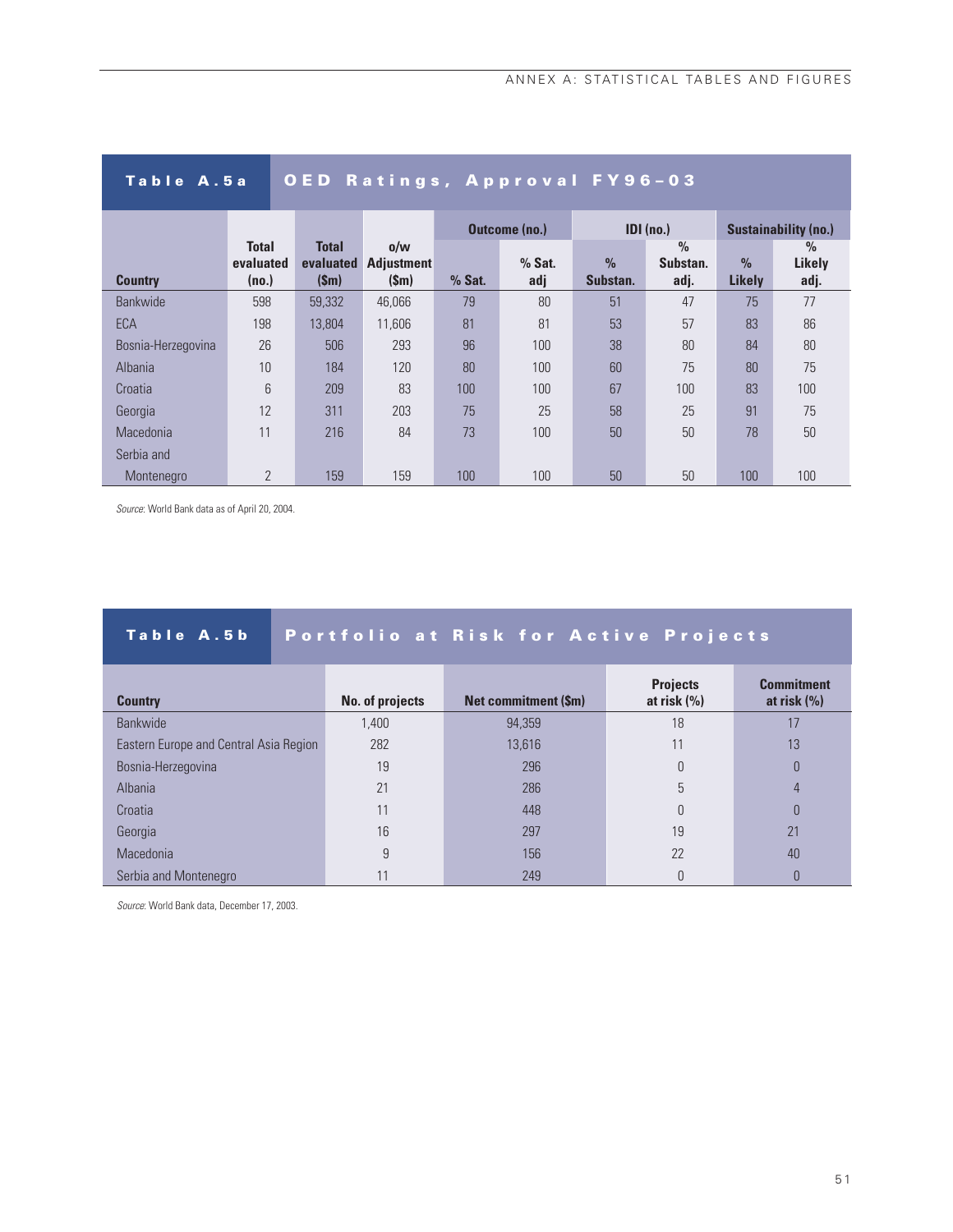| Table A.5a         |                                    |                                   |                                  |          |                      | OED Ratings, Approval FY96-03 |                                   |                                |                                 |
|--------------------|------------------------------------|-----------------------------------|----------------------------------|----------|----------------------|-------------------------------|-----------------------------------|--------------------------------|---------------------------------|
|                    |                                    |                                   |                                  |          | <b>Outcome (no.)</b> |                               | IDI (no.)                         |                                | <b>Sustainability (no.)</b>     |
| <b>Country</b>     | <b>Total</b><br>evaluated<br>(no.) | <b>Total</b><br>evaluated<br>(Sm) | 0/w<br><b>Adjustment</b><br>(Sm) | $%$ Sat. | $%$ Sat.<br>adj      | $\frac{0}{0}$<br>Substan.     | $\frac{0}{0}$<br>Substan.<br>adj. | $\frac{0}{0}$<br><b>Likely</b> | $\frac{0}{0}$<br>Likely<br>adj. |
| Bankwide           | 598                                | 59.332                            | 46.066                           | 79       | 80                   | 51                            | 47                                | 75                             | 77                              |
| <b>ECA</b>         | 198                                | 13,804                            | 11,606                           | 81       | 81                   | 53                            | 57                                | 83                             | 86                              |
| Bosnia-Herzegovina | 26                                 | 506                               | 293                              | 96       | 100                  | 38                            | 80                                | 84                             | 80                              |
| Albania            | 10                                 | 184                               | 120                              | 80       | 100                  | 60                            | 75                                | 80                             | 75                              |
| Croatia            | 6                                  | 209                               | 83                               | 100      | 100                  | 67                            | 100                               | 83                             | 100                             |
| Georgia            | 12                                 | 311                               | 203                              | 75       | 25                   | 58                            | 25                                | 91                             | 75                              |
| Macedonia          | 11                                 | 216                               | 84                               | 73       | 100                  | 50                            | 50                                | 78                             | 50                              |
| Serbia and         |                                    |                                   |                                  |          |                      |                               |                                   |                                |                                 |
| Montenegro         | $\overline{2}$                     | 159                               | 159                              | 100      | 100                  | 50                            | 50                                | 100                            | 100                             |

*Source*: World Bank data as of April 20, 2004.

## **T able A.5b Portfolio at Risk for Active Projects**

| <b>Country</b>                         | No. of projects | <b>Net commitment (\$m)</b> | <b>Projects</b><br>at risk $(\% )$ | <b>Commitment</b><br>at risk $(\% )$ |
|----------------------------------------|-----------------|-----------------------------|------------------------------------|--------------------------------------|
| <b>Bankwide</b>                        | 1,400           | 94,359                      | 18                                 | 17                                   |
| Eastern Europe and Central Asia Region | 282             | 13,616                      | 11                                 | 13                                   |
| Bosnia-Herzegovina                     | 19              | 296                         |                                    | 0                                    |
| Albania                                | 21              | 286                         | 5                                  | 4                                    |
| Croatia                                | 11              | 448                         |                                    | 0                                    |
| Georgia                                | 16              | 297                         | 19                                 | 21                                   |
| <b>Macedonia</b>                       | 9               | 156                         | 22                                 | 40                                   |
| Serbia and Montenegro                  |                 | 249                         |                                    | 0                                    |

*Source*: World Bank data, December 17, 2003.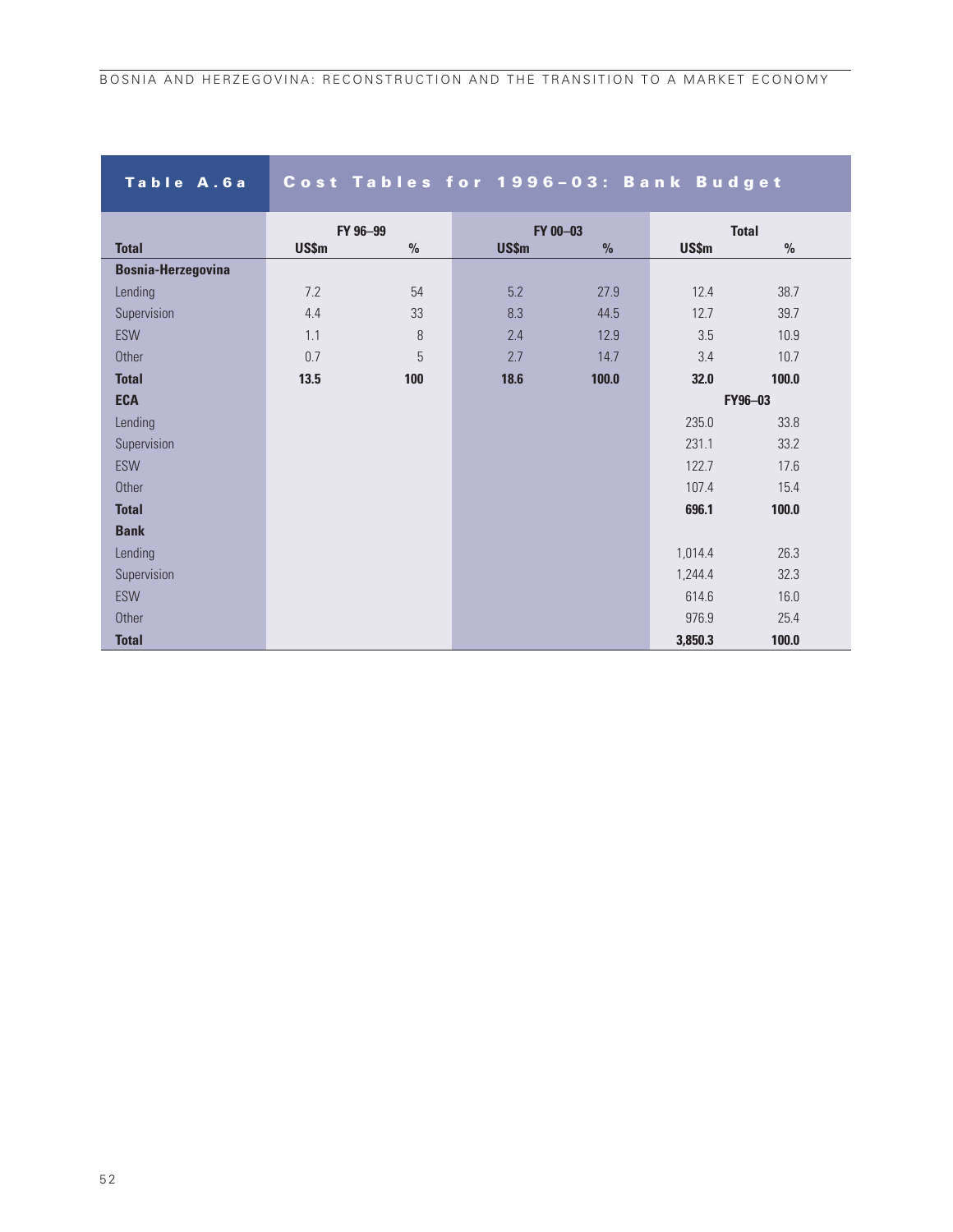| Table A.6a                |              |               | Cost Tables for 1996-03: Bank Budget |               |              |                |
|---------------------------|--------------|---------------|--------------------------------------|---------------|--------------|----------------|
|                           | FY 96-99     |               |                                      | FY 00-03      |              | <b>Total</b>   |
| <b>Total</b>              | <b>US\$m</b> | $\frac{0}{0}$ | <b>US\$m</b>                         | $\frac{0}{0}$ | <b>US\$m</b> | $\frac{0}{0}$  |
| <b>Bosnia-Herzegovina</b> |              |               |                                      |               |              |                |
| Lending                   | 7.2          | 54            | 5.2                                  | 27.9          | 12.4         | 38.7           |
| Supervision               | 4.4          | 33            | 8.3                                  | 44.5          | 12.7         | 39.7           |
| ESW                       | 1.1          | 8             | 2.4                                  | 12.9          | 3.5          | 10.9           |
| Other                     | 0.7          | 5             | 2.7                                  | 14.7          | 3.4          | 10.7           |
| <b>Total</b>              | 13.5         | 100           | 18.6                                 | 100.0         | 32.0         | 100.0          |
| <b>ECA</b>                |              |               |                                      |               |              | <b>FY96-03</b> |
| Lending                   |              |               |                                      |               | 235.0        | 33.8           |
| Supervision               |              |               |                                      |               | 231.1        | 33.2           |
| ESW                       |              |               |                                      |               | 122.7        | 17.6           |
| Other                     |              |               |                                      |               | 107.4        | 15.4           |
| <b>Total</b>              |              |               |                                      |               | 696.1        | 100.0          |
| <b>Bank</b>               |              |               |                                      |               |              |                |
| Lending                   |              |               |                                      |               | 1,014.4      | 26.3           |
| Supervision               |              |               |                                      |               | 1,244.4      | 32.3           |
| ESW                       |              |               |                                      |               | 614.6        | 16.0           |
| Other                     |              |               |                                      |               | 976.9        | 25.4           |
| <b>Total</b>              |              |               |                                      |               | 3,850.3      | 100.0          |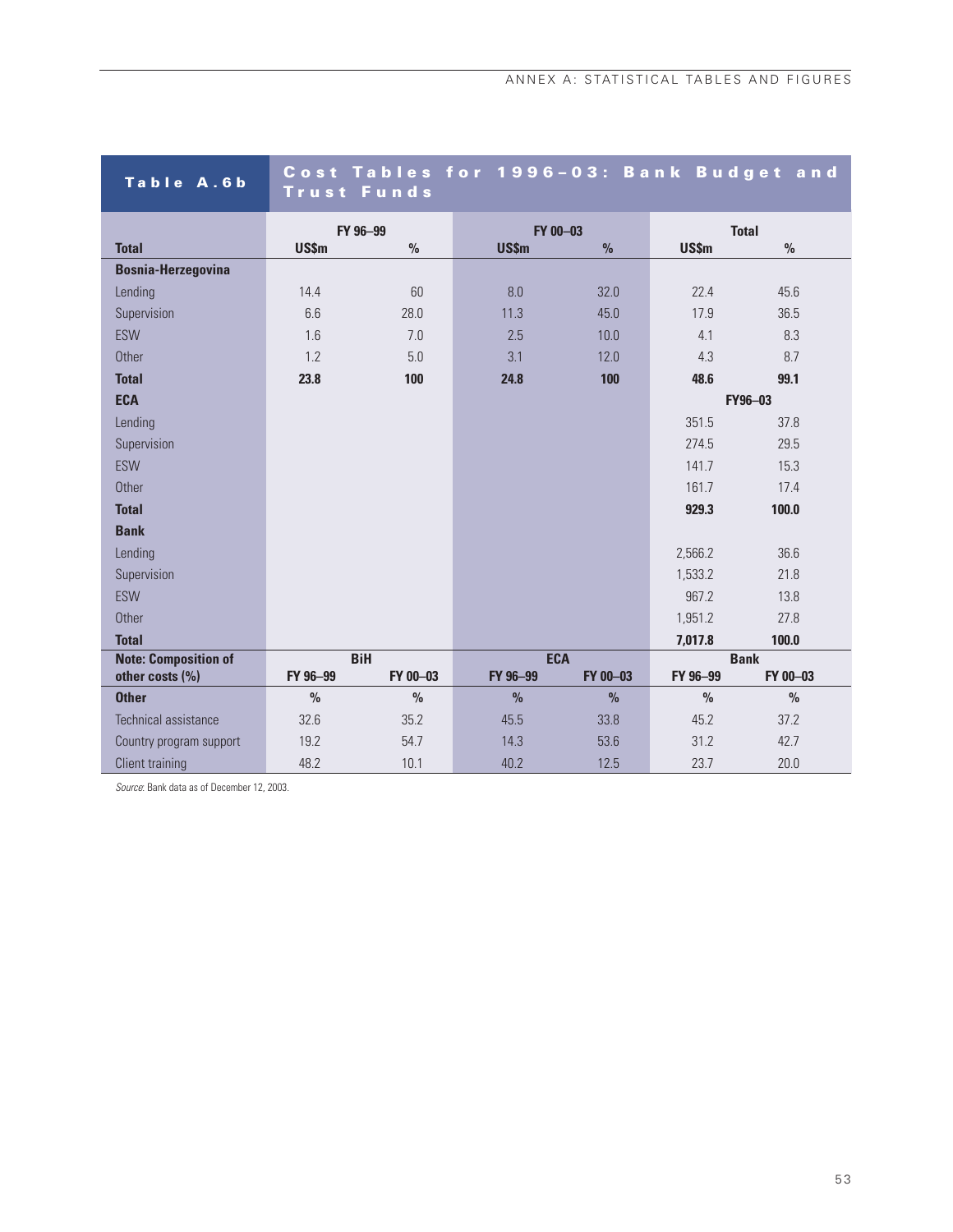| Table A.6b                                     | <b>Trust Funds</b> |                        | Cost Tables for 1996-03: Bank Budget and |               |               |                         |
|------------------------------------------------|--------------------|------------------------|------------------------------------------|---------------|---------------|-------------------------|
|                                                |                    | FY 96-99               | FY 00-03                                 |               |               | <b>Total</b>            |
| <b>Total</b>                                   | <b>US\$m</b>       | $\frac{0}{0}$          | <b>US\$m</b>                             | $\frac{0}{0}$ | <b>US\$m</b>  | $\frac{0}{0}$           |
| <b>Bosnia-Herzegovina</b>                      |                    |                        |                                          |               |               |                         |
| Lending                                        | 14.4               | 60                     | 8.0                                      | 32.0          | 22.4          | 45.6                    |
| Supervision                                    | 6.6                | 28.0                   | 11.3                                     | 45.0          | 17.9          | 36.5                    |
| <b>ESW</b>                                     | 1.6                | 7.0                    | 2.5                                      | 10.0          | 4.1           | 8.3                     |
| Other                                          | 1.2                | 5.0                    | 3.1                                      | 12.0          | 4.3           | 8.7                     |
| <b>Total</b>                                   | 23.8               | 100                    | 24.8                                     | 100           | 48.6          | 99.1                    |
| <b>ECA</b>                                     |                    |                        |                                          |               |               | FY96-03                 |
| Lending                                        |                    |                        |                                          |               | 351.5         | 37.8                    |
| Supervision                                    |                    |                        |                                          |               | 274.5         | 29.5                    |
| <b>ESW</b>                                     |                    |                        |                                          |               | 141.7         | 15.3                    |
| Other                                          |                    |                        |                                          |               | 161.7         | 17.4                    |
| <b>Total</b>                                   |                    |                        |                                          |               | 929.3         | 100.0                   |
| <b>Bank</b>                                    |                    |                        |                                          |               |               |                         |
| Lending                                        |                    |                        |                                          |               | 2,566.2       | 36.6                    |
| Supervision                                    |                    |                        |                                          |               | 1,533.2       | 21.8                    |
| <b>ESW</b>                                     |                    |                        |                                          |               | 967.2         | 13.8                    |
| Other                                          |                    |                        |                                          |               | 1,951.2       | 27.8                    |
| <b>Total</b>                                   |                    |                        |                                          |               | 7,017.8       | 100.0                   |
| <b>Note: Composition of</b><br>other costs (%) | FY 96-99           | <b>BiH</b><br>FY 00-03 | <b>ECA</b><br>FY 96-99                   | FY 00-03      | FY 96-99      | <b>Bank</b><br>FY 00-03 |
| <b>Other</b>                                   | $\frac{0}{0}$      | $\frac{0}{0}$          | $\frac{0}{0}$                            | $\%$          | $\frac{0}{0}$ | $\frac{0}{0}$           |
| Technical assistance                           | 32.6               | 35.2                   | 45.5                                     | 33.8          | 45.2          | 37.2                    |
| Country program support                        | 19.2               | 54.7                   | 14.3                                     | 53.6          | 31.2          | 42.7                    |
| <b>Client training</b>                         | 48.2               | 10.1                   | 40.2                                     | 12.5          | 23.7          | 20.0                    |

*Source*: Bank data as of December 12, 2003.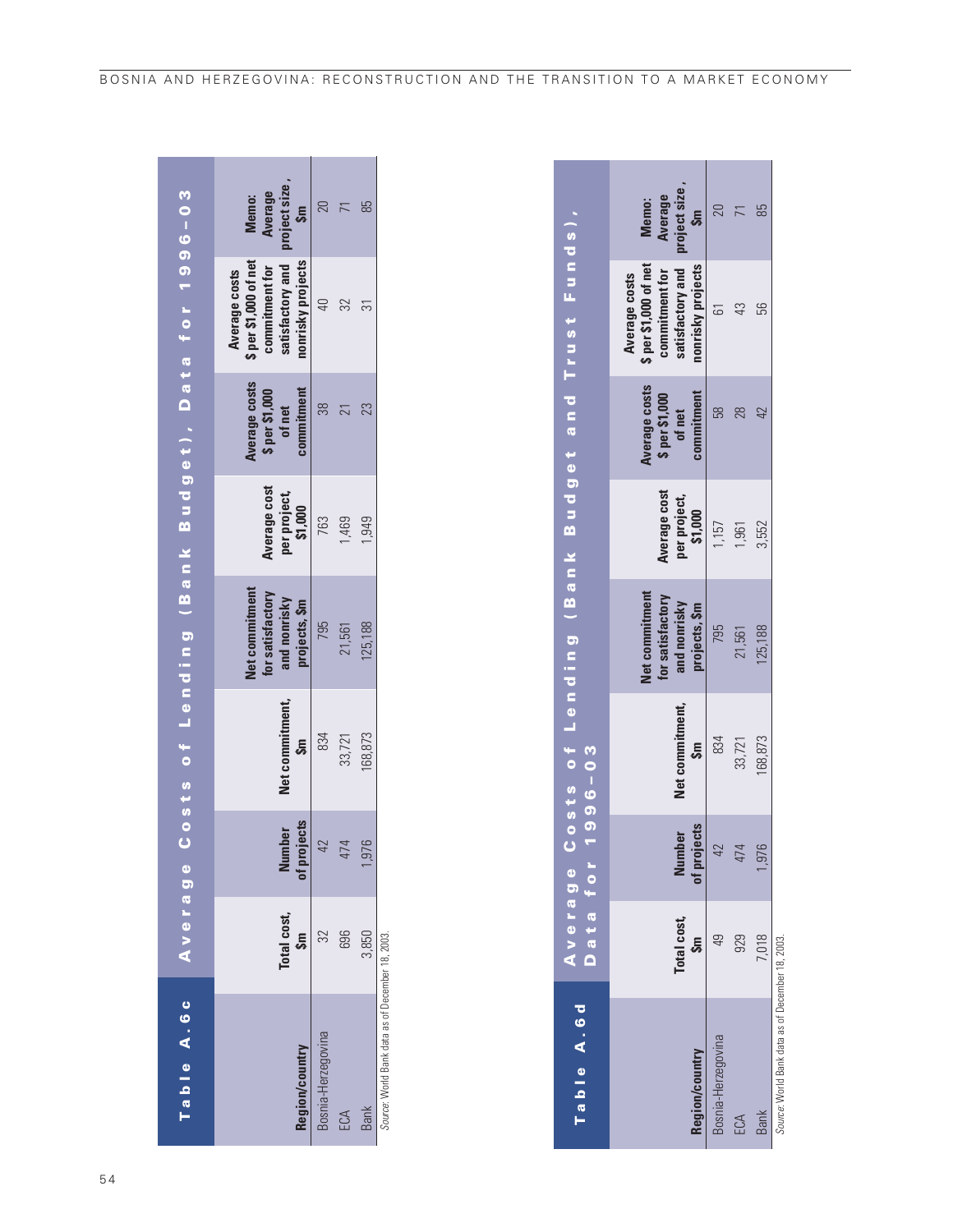| Table A.Gc                                      | <b>Average</b>    |                              | Costs of Lending (Bank Budget), Data for 1996–03 |                                                                     |                                                |                                                                |                                                                                                                       |                               |
|-------------------------------------------------|-------------------|------------------------------|--------------------------------------------------|---------------------------------------------------------------------|------------------------------------------------|----------------------------------------------------------------|-----------------------------------------------------------------------------------------------------------------------|-------------------------------|
| eqion/countr                                    | Total cost,<br>Sm | of projects<br><b>Number</b> | Net commitment,<br>Sm                            | Net commitment<br>for satisfactory<br>and nonrisky<br>projects, \$m | <b>Average cost</b><br>per project,<br>\$1,000 | <b>Average costs</b><br>\$ per \$1,000<br>commitment<br>of net | satisfactory and project size<br>commitment for<br>\$ per \$1,000 of net<br>nonrisky projects<br><b>Average costs</b> | Average<br><b>Memo:</b><br>Sm |
| 3osnia-Herzegovina                              |                   | 42                           | 834                                              | 795                                                                 | 763                                            |                                                                |                                                                                                                       |                               |
|                                                 | 696               | 474                          | 33,721                                           | 21,561                                                              | 1,469                                          |                                                                | 32                                                                                                                    |                               |
| <b>Bank</b>                                     | 3,850             | 976                          | 168,873                                          | 125,188                                                             | 1,949                                          |                                                                |                                                                                                                       |                               |
| Source: World Bank data as of December 18, 2003 |                   |                              |                                                  |                                                                     |                                                |                                                                |                                                                                                                       |                               |

*Source*: World Bank data as of December 18, 2003.

| Table A.6d         | Data for<br><b>Average</b> |                      | $1996 - 03$     | Costs of Lend Ind Ind Bank Bank Bank Bang (Bang Ind Indunds), |                              |                                                  |                                                                                           |                  |
|--------------------|----------------------------|----------------------|-----------------|---------------------------------------------------------------|------------------------------|--------------------------------------------------|-------------------------------------------------------------------------------------------|------------------|
|                    | Total cost,                | <b>Number</b>        | Net commitment, | Net commitment<br>for satisfactory<br>and nonrisky            | Average cost<br>per project, | <b>Average costs</b><br>\$ per \$1,000<br>of net | satisfactory and project size<br>commitment for<br>\$ per \$1,000 of net<br>Average costs | Average<br>Memo: |
| Region/country     | ສົ                         | of projects          | Sm              | projects, \$m                                                 | \$1,000                      | commitment                                       | nonrisky projects                                                                         | Sm               |
| Bosnia-Herzegovina |                            | 42                   | 834             | 795                                                           | 1,157                        | 89                                               |                                                                                           |                  |
| ECA                | 929                        | 474                  | 33,721          | 21,561                                                        | 1,961                        | 28                                               | 43                                                                                        |                  |
| <b>Bank</b>        | 7,018                      | $\overline{6}$<br>ίë | 168,873         | 125,188                                                       | 3,552                        |                                                  | 99                                                                                        | 89               |
|                    |                            |                      |                 |                                                               |                              |                                                  |                                                                                           |                  |

Source: World Bank data as of December 18, 2003. *Source*: World Bank data as of December 18, 2003.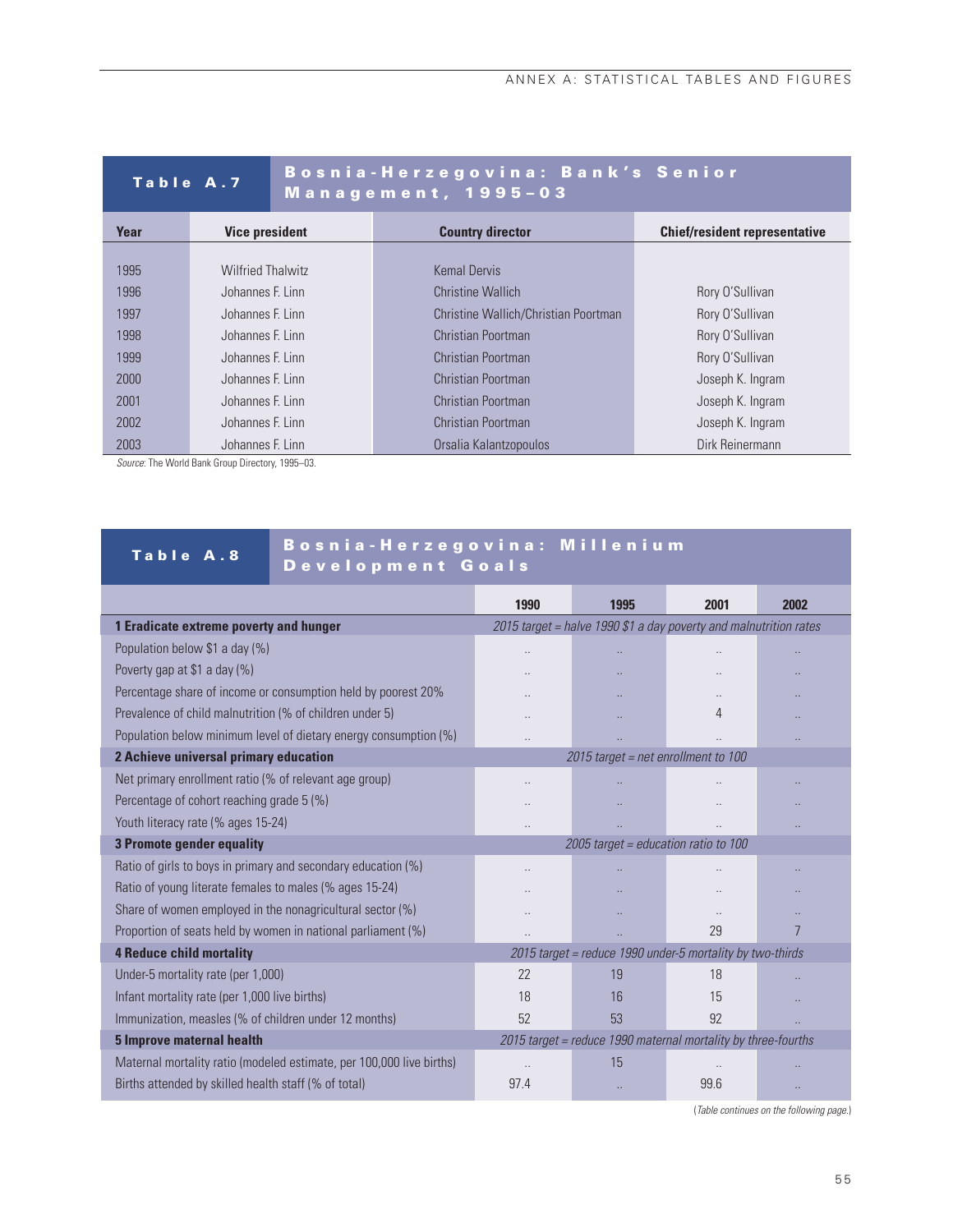| Table A.7 |                          | Bosnia-Herzegovina: Bank's Senior<br>Management, 1995-03 |                                      |  |  |  |
|-----------|--------------------------|----------------------------------------------------------|--------------------------------------|--|--|--|
| Year      | <b>Vice president</b>    | <b>Country director</b>                                  | <b>Chief/resident representative</b> |  |  |  |
|           |                          |                                                          |                                      |  |  |  |
| 1995      | <b>Wilfried Thalwitz</b> | <b>Kemal Dervis</b>                                      |                                      |  |  |  |
| 1996      | Johannes F. Linn         | <b>Christine Wallich</b>                                 | Rory O'Sullivan                      |  |  |  |
| 1997      | Johannes F. Linn         | Christine Wallich/Christian Poortman                     | Rory O'Sullivan                      |  |  |  |
| 1998      | Johannes F. Linn         | Christian Poortman                                       | Rory O'Sullivan                      |  |  |  |
| 1999      | Johannes F. Linn         | Christian Poortman                                       | Rory O'Sullivan                      |  |  |  |
| 2000      | Johannes F. Linn         | Christian Poortman                                       | Joseph K. Ingram                     |  |  |  |
| 2001      | Johannes F. Linn         | Christian Poortman                                       | Joseph K. Ingram                     |  |  |  |
| 2002      | Johannes F. Linn         | Christian Poortman                                       | Joseph K. Ingram                     |  |  |  |
| 2003      | Johannes F. Linn         | Orsalia Kalantzopoulos                                   | Dirk Reinermann                      |  |  |  |

*Source*: The World Bank Group Directory, 1995–03.

## **Bosnia-Herzegovina: Millenium Development Goals <sup>T</sup> able A.8**

|                                                                                              | 1990                 | 1995                                                              | 2001                 | 2002 |
|----------------------------------------------------------------------------------------------|----------------------|-------------------------------------------------------------------|----------------------|------|
| 1 Eradicate extreme poverty and hunger                                                       |                      | 2015 target = halve 1990 \$1 a day poverty and malnutrition rates |                      |      |
| Population below \$1 a day (%)                                                               | $\ddotsc$            |                                                                   |                      |      |
| Poverty gap at \$1 a day (%)                                                                 | $\ddot{\phantom{a}}$ |                                                                   | $\ddot{\phantom{a}}$ |      |
| Percentage share of income or consumption held by poorest 20%                                |                      |                                                                   |                      |      |
| Prevalence of child malnutrition (% of children under 5)                                     | $\ddot{\phantom{a}}$ |                                                                   | 4                    |      |
| Population below minimum level of dietary energy consumption (%)                             |                      |                                                                   |                      |      |
| 2 Achieve universal primary education                                                        |                      | 2015 target = net enrollment to 100                               |                      |      |
| Net primary enrollment ratio (% of relevant age group)                                       |                      |                                                                   |                      |      |
| Percentage of cohort reaching grade 5 (%)                                                    |                      |                                                                   |                      |      |
| Youth literacy rate (% ages 15-24)                                                           | $\ddotsc$            |                                                                   |                      |      |
| <b>3 Promote gender equality</b>                                                             |                      | 2005 target = education ratio to 100                              |                      |      |
| Ratio of girls to boys in primary and secondary education (%)                                | $\ddot{\phantom{a}}$ |                                                                   |                      |      |
| Ratio of young literate females to males (% ages 15-24)                                      |                      |                                                                   |                      |      |
| Share of women employed in the nonagricultural sector (%)                                    |                      |                                                                   |                      |      |
| Proportion of seats held by women in national parliament (%)                                 | $\ddotsc$            |                                                                   | 29                   |      |
| <b>4 Reduce child mortality</b><br>2015 target = reduce 1990 under-5 mortality by two-thirds |                      |                                                                   |                      |      |
| Under-5 mortality rate (per 1,000)                                                           | 22                   | 19                                                                | 18                   |      |
| Infant mortality rate (per 1,000 live births)                                                | 18                   | 16                                                                | 15                   |      |
| Immunization, measles (% of children under 12 months)                                        | 52                   | 53                                                                | 92                   |      |
| <b>5 Improve maternal health</b>                                                             |                      | 2015 target = reduce 1990 maternal mortality by three-fourths     |                      |      |
| Maternal mortality ratio (modeled estimate, per 100,000 live births)                         | $\ddot{\phantom{a}}$ | 15                                                                |                      |      |
| Births attended by skilled health staff (% of total)                                         | 97.4                 |                                                                   | 99.6                 |      |

(*Table continues on the following page.*)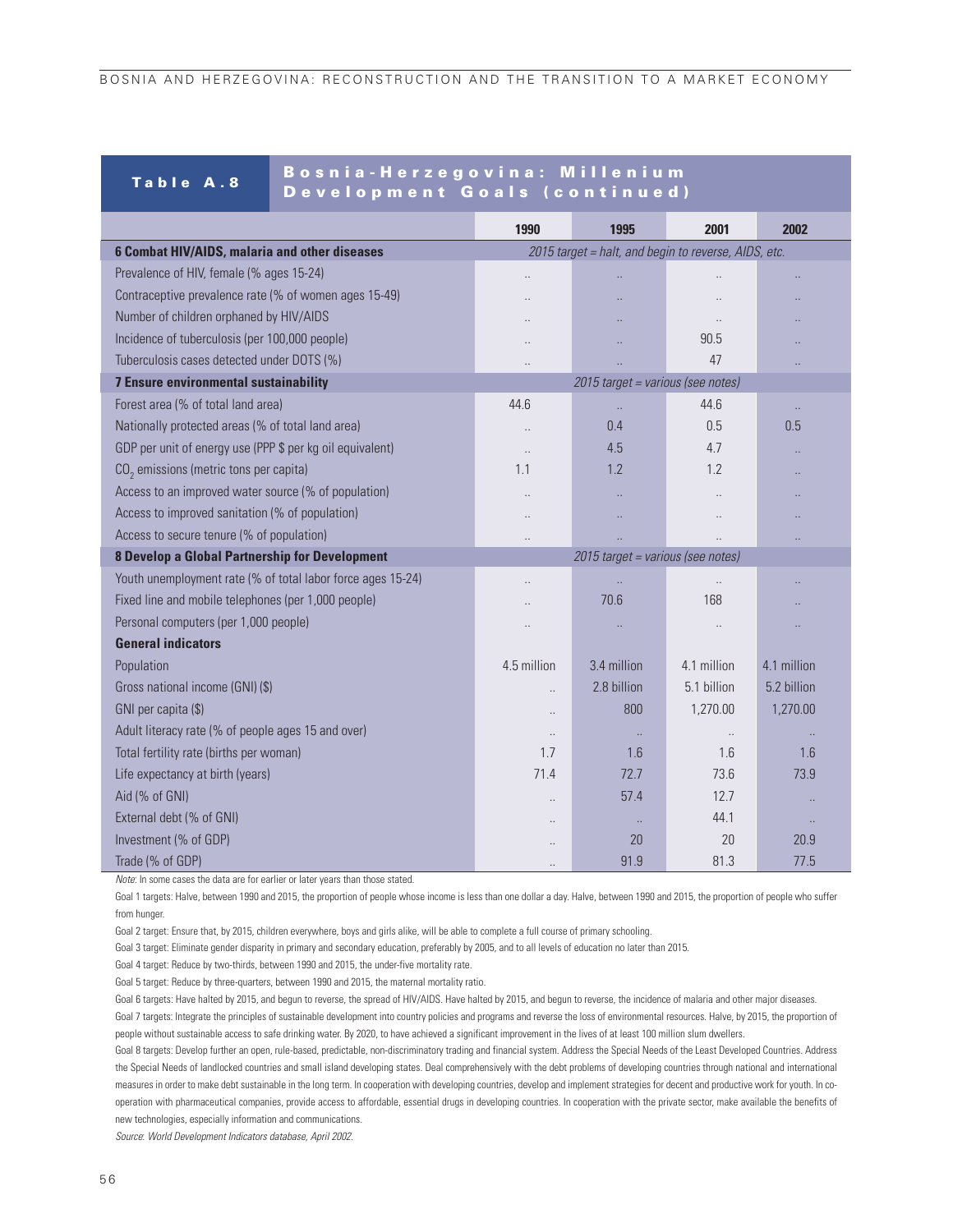## BOSNIA AND HERZEGOVINA: RECONSTRUCTION AND THE TRANSITION TO A MARKET ECONOMY

## **Bosnia-Herzegovina: Millenium**  Table A.8 **Dosnia-Herzegovina: Willenium**

|                                                             | 1990                 | 1995                                                 | 2001                 | 2002                 |
|-------------------------------------------------------------|----------------------|------------------------------------------------------|----------------------|----------------------|
| <b>6 Combat HIV/AIDS, malaria and other diseases</b>        |                      | 2015 target = halt, and begin to reverse, AIDS, etc. |                      |                      |
| Prevalence of HIV, female (% ages 15-24)                    | $\ddot{\phantom{a}}$ |                                                      |                      |                      |
| Contraceptive prevalence rate (% of women ages 15-49)       |                      |                                                      |                      |                      |
| Number of children orphaned by HIV/AIDS                     |                      |                                                      | $\ddotsc$            |                      |
| Incidence of tuberculosis (per 100,000 people)              | $\ddotsc$            |                                                      | 90.5                 |                      |
| Tuberculosis cases detected under DOTS (%)                  | $\ddot{\phantom{a}}$ |                                                      | 47                   |                      |
| <b>7 Ensure environmental sustainability</b>                |                      | 2015 target = various (see notes)                    |                      |                      |
| Forest area (% of total land area)                          | 44.6                 | $\ddotsc$                                            | 44.6                 | $\ldots$             |
| Nationally protected areas (% of total land area)           | $\ddot{\phantom{a}}$ | 0.4                                                  | 0.5                  | 0.5                  |
| GDP per unit of energy use (PPP \$ per kg oil equivalent)   | $\ddotsc$            | 4.5                                                  | 4.7                  |                      |
| $CO2$ emissions (metric tons per capita)                    | 1.1                  | 1.2                                                  | 1.2                  |                      |
| Access to an improved water source (% of population)        | $\ddot{\phantom{0}}$ | Ω.                                                   | $\ddotsc$            | $\ddot{\phantom{0}}$ |
| Access to improved sanitation (% of population)             |                      |                                                      |                      |                      |
| Access to secure tenure (% of population)                   | $\ddot{\phantom{a}}$ |                                                      |                      |                      |
| 8 Develop a Global Partnership for Development              |                      | 2015 target = various (see notes)                    |                      |                      |
| Youth unemployment rate (% of total labor force ages 15-24) | $\ddot{\phantom{a}}$ | Ϋ,                                                   | $\ddot{\phantom{a}}$ |                      |
| Fixed line and mobile telephones (per 1,000 people)         |                      | 70.6                                                 | 168                  |                      |
| Personal computers (per 1,000 people)                       | $\ddotsc$            |                                                      | $\ddotsc$            |                      |
| <b>General indicators</b>                                   |                      |                                                      |                      |                      |
| Population                                                  | 4.5 million          | 3.4 million                                          | 4.1 million          | 4.1 million          |
| Gross national income (GNI) (\$)                            |                      | 2.8 billion                                          | 5.1 billion          | 5.2 billion          |
| GNI per capita (\$)                                         |                      | 800                                                  | 1,270.00             | 1,270.00             |
| Adult literacy rate (% of people ages 15 and over)          | $\ldots$             | $\ldots$                                             | $\ldots$             | $\ldots$             |
| Total fertility rate (births per woman)                     | 1.7                  | 1.6                                                  | 1.6                  | 1.6                  |
| Life expectancy at birth (years)                            | 71.4                 | 72.7                                                 | 73.6                 | 73.9                 |
| Aid (% of GNI)                                              | $\ddot{\phantom{a}}$ | 57.4                                                 | 12.7                 |                      |
| External debt (% of GNI)                                    |                      | $\ddotsc$                                            | 44.1                 | τ,                   |
| Investment (% of GDP)                                       |                      | 20                                                   | 20                   | 20.9                 |
| Trade (% of GDP)                                            |                      | 91.9                                                 | 81.3                 | 77.5                 |

*Note*: In some cases the data are for earlier or later years than those stated.

Goal 1 targets: Halve, between 1990 and 2015, the proportion of people whose income is less than one dollar a day. Halve, between 1990 and 2015, the proportion of people who suffer from hunger.

Goal 2 target: Ensure that, by 2015, children everywhere, boys and girls alike, will be able to complete a full course of primary schooling.

Goal 3 target: Eliminate gender disparity in primary and secondary education, preferably by 2005, and to all levels of education no later than 2015.

Goal 4 target: Reduce by two-thirds, between 1990 and 2015, the under-five mortality rate.

Goal 5 target: Reduce by three-quarters, between 1990 and 2015, the maternal mortality ratio.

Goal 6 targets: Have halted by 2015, and begun to reverse, the spread of HIV/AIDS. Have halted by 2015, and begun to reverse, the incidence of malaria and other major diseases.

Goal 7 targets: Integrate the principles of sustainable development into country policies and programs and reverse the loss of environmental resources. Halve, by 2015, the proportion of people without sustainable access to safe drinking water. By 2020, to have achieved a significant improvement in the lives of at least 100 million slum dwellers.

Goal 8 targets: Develop further an open, rule-based, predictable, non-discriminatory trading and financial system. Address the Special Needs of the Least Developed Countries. Address the Special Needs of landlocked countries and small island developing states. Deal comprehensively with the debt problems of developing countries through national and international measures in order to make debt sustainable in the long term. In cooperation with developing countries, develop and implement strategies for decent and productive work for youth. In cooperation with pharmaceutical companies, provide access to affordable, essential drugs in developing countries. In cooperation with the private sector, make available the benefits of new technologies, especially information and communications.

*Source*: *World Development Indicators database, April 2002.*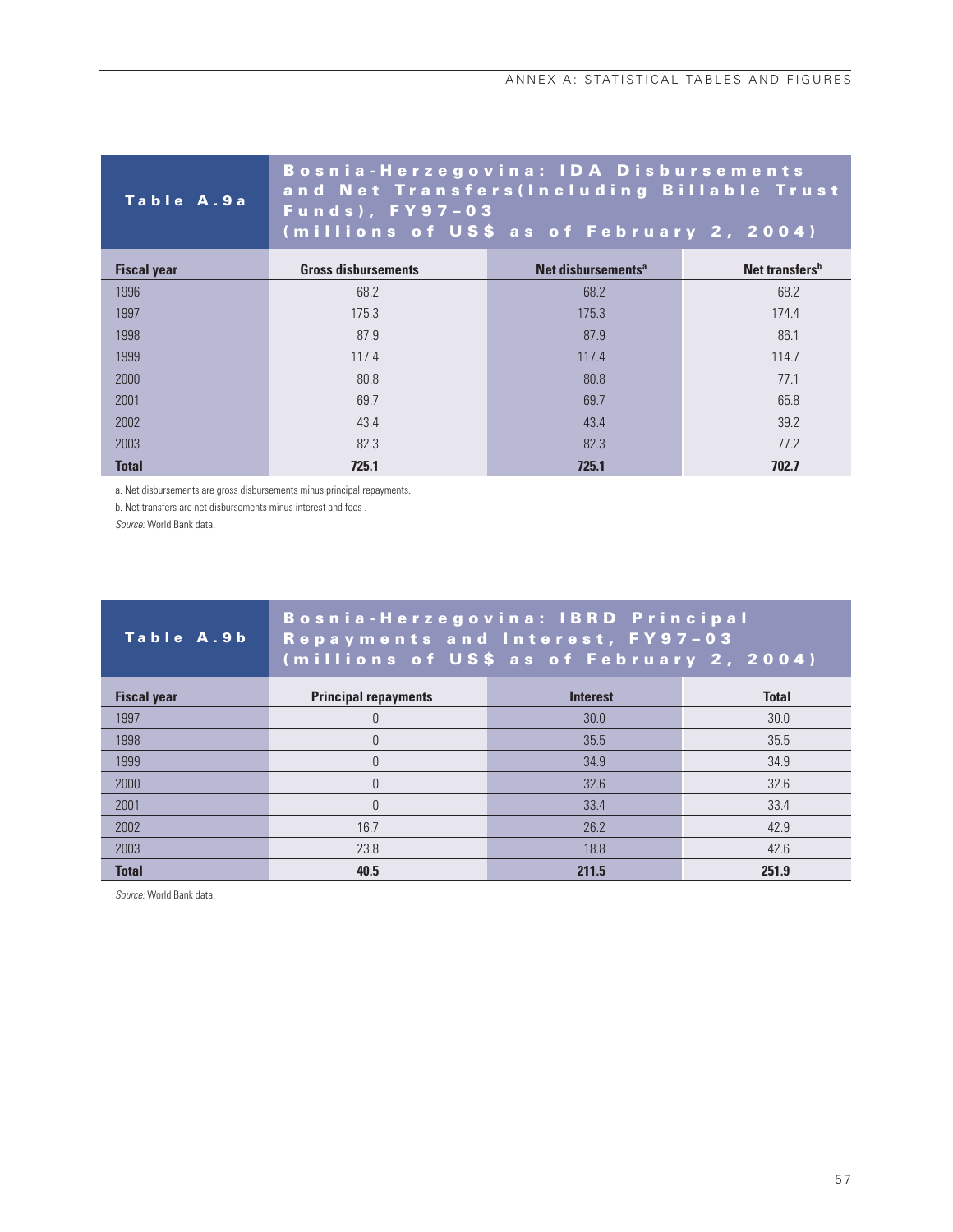| Table A.9a         | Bosnia-Herzegovina: IDA Disbursements<br>and Net Transfers (Including Billable Trust<br>Funds), FY97-03<br>(millions of US\$ as of February 2, 2004) |                                |                            |  |  |  |  |  |
|--------------------|------------------------------------------------------------------------------------------------------------------------------------------------------|--------------------------------|----------------------------|--|--|--|--|--|
| <b>Fiscal year</b> | <b>Gross disbursements</b>                                                                                                                           | Net disbursements <sup>a</sup> | Net transfers <sup>b</sup> |  |  |  |  |  |
| 1996               | 68.2                                                                                                                                                 | 68.2                           | 68.2                       |  |  |  |  |  |
| 1997               | 175.3                                                                                                                                                | 175.3                          | 174.4                      |  |  |  |  |  |
| 1998               | 87.9                                                                                                                                                 | 87.9                           | 86.1                       |  |  |  |  |  |
| 1999               | 117.4                                                                                                                                                | 117.4                          | 114.7                      |  |  |  |  |  |
| 2000               | 80.8                                                                                                                                                 | 80.8                           | 77.1                       |  |  |  |  |  |
| 2001               | 69.7                                                                                                                                                 | 69.7                           | 65.8                       |  |  |  |  |  |
| 2002               | 43.4                                                                                                                                                 | 43.4                           | 39.2                       |  |  |  |  |  |
| 2003               | 82.3                                                                                                                                                 | 82.3                           | 77.2                       |  |  |  |  |  |
| <b>Total</b>       | 725.1                                                                                                                                                | 725.1                          | 702.7                      |  |  |  |  |  |

a. Net disbursements are gross disbursements minus principal repayments.

b. Net transfers are net disbursements minus interest and fees .

*Source:* World Bank data.

| Table A.9b         | Bosnia-Herzegovina: IBRD Principal<br>Repayments and Interest, FY97-03<br>(millions of US\$ as of February 2, 2004) |                 |              |  |  |  |  |
|--------------------|---------------------------------------------------------------------------------------------------------------------|-----------------|--------------|--|--|--|--|
| <b>Fiscal year</b> | <b>Principal repayments</b>                                                                                         | <b>Interest</b> | <b>Total</b> |  |  |  |  |
| 1997               | $\Omega$                                                                                                            | 30.0            | 30.0         |  |  |  |  |
| 1998               | $\Omega$                                                                                                            | 35.5            | 35.5         |  |  |  |  |
| 1999               | $\Omega$                                                                                                            | 34.9            | 34.9         |  |  |  |  |
| 2000               | $\Omega$                                                                                                            | 32.6            | 32.6         |  |  |  |  |
| 2001               | $\Omega$                                                                                                            | 33.4            | 33.4         |  |  |  |  |
| 2002               | 16.7                                                                                                                | 26.2            | 42.9         |  |  |  |  |
| 2003               | 23.8                                                                                                                | 18.8            | 42.6         |  |  |  |  |
| <b>Total</b>       | 40.5                                                                                                                | 211.5           | 251.9        |  |  |  |  |

*Source:* World Bank data.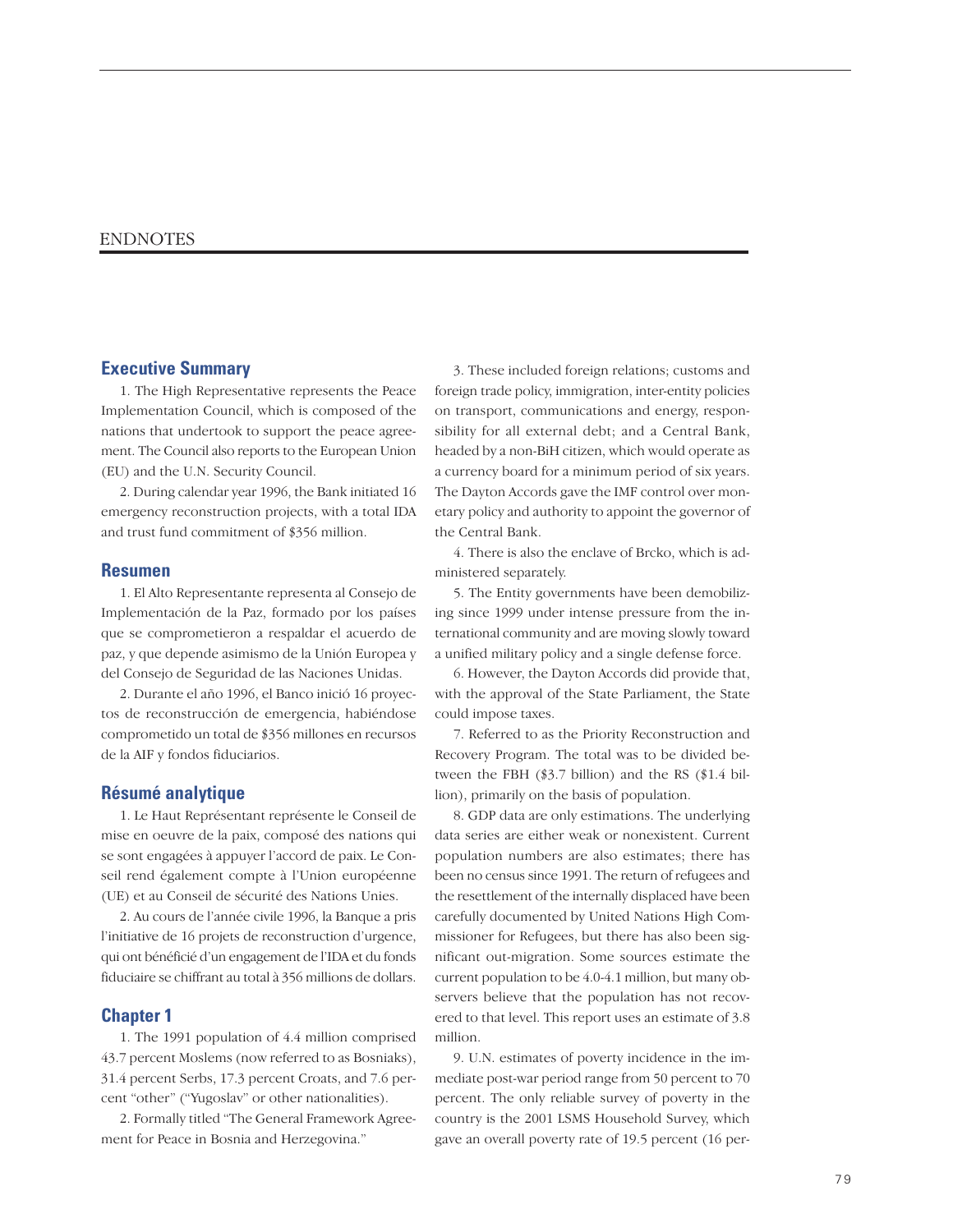## ENDNOTES

## **Executive Summary**

1. The High Representative represents the Peace Implementation Council, which is composed of the nations that undertook to support the peace agreement. The Council also reports to the European Union (EU) and the U.N. Security Council.

2. During calendar year 1996, the Bank initiated 16 emergency reconstruction projects, with a total IDA and trust fund commitment of \$356 million.

## **Resumen**

1. El Alto Representante representa al Consejo de Implementación de la Paz, formado por los países que se comprometieron a respaldar el acuerdo de paz, y que depende asimismo de la Unión Europea y del Consejo de Seguridad de las Naciones Unidas.

2. Durante el año 1996, el Banco inició 16 proyectos de reconstrucción de emergencia, habiéndose comprometido un total de \$356 millones en recursos de la AIF y fondos fiduciarios.

## **Résumé analytique**

1. Le Haut Représentant représente le Conseil de mise en oeuvre de la paix, composé des nations qui se sont engagées à appuyer l'accord de paix. Le Conseil rend également compte à l'Union européenne (UE) et au Conseil de sécurité des Nations Unies.

2. Au cours de l'année civile 1996, la Banque a pris l'initiative de 16 projets de reconstruction d'urgence, qui ont bénéficié d'un engagement de l'IDA et du fonds fiduciaire se chiffrant au total à 356 millions de dollars.

## **Chapter 1**

1. The 1991 population of 4.4 million comprised 43.7 percent Moslems (now referred to as Bosniaks), 31.4 percent Serbs, 17.3 percent Croats, and 7.6 percent "other" ("Yugoslav" or other nationalities).

2. Formally titled "The General Framework Agreement for Peace in Bosnia and Herzegovina."

3. These included foreign relations; customs and foreign trade policy, immigration, inter-entity policies on transport, communications and energy, responsibility for all external debt; and a Central Bank, headed by a non-BiH citizen, which would operate as a currency board for a minimum period of six years. The Dayton Accords gave the IMF control over monetary policy and authority to appoint the governor of the Central Bank.

4. There is also the enclave of Brcko, which is administered separately.

5. The Entity governments have been demobilizing since 1999 under intense pressure from the international community and are moving slowly toward a unified military policy and a single defense force.

6. However, the Dayton Accords did provide that, with the approval of the State Parliament, the State could impose taxes.

7. Referred to as the Priority Reconstruction and Recovery Program. The total was to be divided between the FBH (\$3.7 billion) and the RS (\$1.4 billion), primarily on the basis of population.

8. GDP data are only estimations. The underlying data series are either weak or nonexistent. Current population numbers are also estimates; there has been no census since 1991. The return of refugees and the resettlement of the internally displaced have been carefully documented by United Nations High Commissioner for Refugees, but there has also been significant out-migration. Some sources estimate the current population to be 4.0-4.1 million, but many observers believe that the population has not recovered to that level. This report uses an estimate of 3.8 million.

9. U.N. estimates of poverty incidence in the immediate post-war period range from 50 percent to 70 percent. The only reliable survey of poverty in the country is the 2001 LSMS Household Survey, which gave an overall poverty rate of 19.5 percent (16 per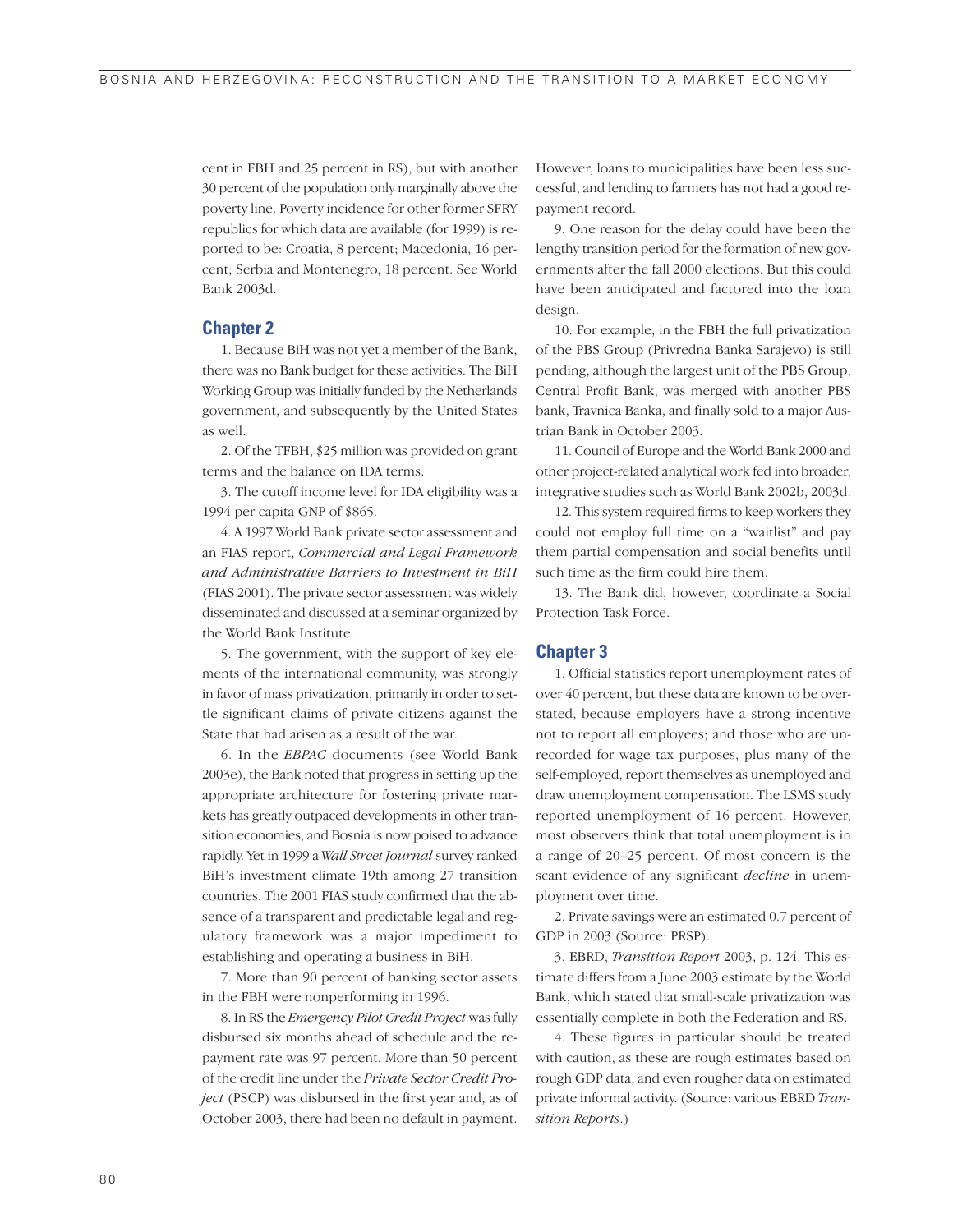cent in FBH and 25 percent in RS), but with another 30 percent of the population only marginally above the poverty line. Poverty incidence for other former SFRY republics for which data are available (for 1999) is reported to be: Croatia, 8 percent; Macedonia, 16 percent; Serbia and Montenegro, 18 percent. See World Bank 2003d.

## **Chapter 2**

1. Because BiH was not yet a member of the Bank, there was no Bank budget for these activities. The BiH Working Group was initially funded by the Netherlands government, and subsequently by the United States as well.

2. Of the TFBH, \$25 million was provided on grant terms and the balance on IDA terms.

3. The cutoff income level for IDA eligibility was a 1994 per capita GNP of \$865.

4. A 1997 World Bank private sector assessment and an FIAS report, *Commercial and Legal Framework and Administrative Barriers to Investment in BiH* (FIAS 2001). The private sector assessment was widely disseminated and discussed at a seminar organized by the World Bank Institute.

5. The government, with the support of key elements of the international community, was strongly in favor of mass privatization, primarily in order to settle significant claims of private citizens against the State that had arisen as a result of the war.

6. In the *EBPAC* documents (see World Bank 2003e), the Bank noted that progress in setting up the appropriate architecture for fostering private markets has greatly outpaced developments in other transition economies, and Bosnia is now poised to advance rapidly. Yet in 1999 a *Wall Street Journal* survey ranked BiH's investment climate 19th among 27 transition countries. The 2001 FIAS study confirmed that the absence of a transparent and predictable legal and regulatory framework was a major impediment to establishing and operating a business in BiH.

7. More than 90 percent of banking sector assets in the FBH were nonperforming in 1996.

8. In RS the *Emergency Pilot Credit Project* was fully disbursed six months ahead of schedule and the repayment rate was 97 percent. More than 50 percent of the credit line under the *Private Sector Credit Project* (PSCP) was disbursed in the first year and, as of October 2003, there had been no default in payment.

However, loans to municipalities have been less successful, and lending to farmers has not had a good repayment record.

9. One reason for the delay could have been the lengthy transition period for the formation of new governments after the fall 2000 elections. But this could have been anticipated and factored into the loan design.

10. For example, in the FBH the full privatization of the PBS Group (Privredna Banka Sarajevo) is still pending, although the largest unit of the PBS Group, Central Profit Bank, was merged with another PBS bank, Travnica Banka, and finally sold to a major Austrian Bank in October 2003.

11. Council of Europe and the World Bank 2000 and other project-related analytical work fed into broader, integrative studies such as World Bank 2002b, 2003d.

12. This system required firms to keep workers they could not employ full time on a "waitlist" and pay them partial compensation and social benefits until such time as the firm could hire them.

13. The Bank did, however, coordinate a Social Protection Task Force.

### **Chapter 3**

1. Official statistics report unemployment rates of over 40 percent, but these data are known to be overstated, because employers have a strong incentive not to report all employees; and those who are unrecorded for wage tax purposes, plus many of the self-employed, report themselves as unemployed and draw unemployment compensation. The LSMS study reported unemployment of 16 percent. However, most observers think that total unemployment is in a range of 20–25 percent. Of most concern is the scant evidence of any significant *decline* in unemployment over time.

2. Private savings were an estimated 0.7 percent of GDP in 2003 (Source: PRSP).

3. EBRD, *Transition Report* 2003, p. 124. This estimate differs from a June 2003 estimate by the World Bank, which stated that small-scale privatization was essentially complete in both the Federation and RS.

4. These figures in particular should be treated with caution, as these are rough estimates based on rough GDP data, and even rougher data on estimated private informal activity. (Source: various EBRD *Transition Reports*.)